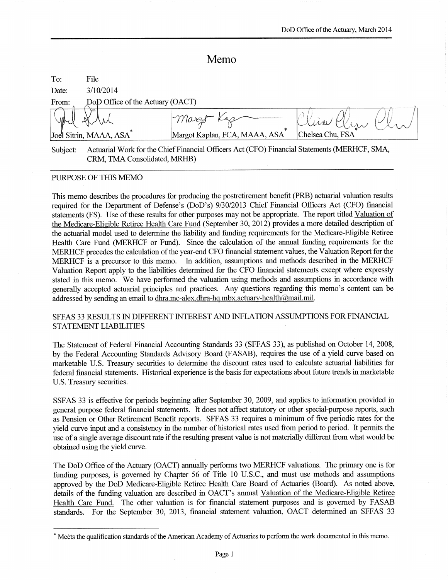# Memo

| To:      | File                                |                                                                                              |                  |  |
|----------|-------------------------------------|----------------------------------------------------------------------------------------------|------------------|--|
| Date:    | 3/10/2014                           |                                                                                              |                  |  |
| From:    | DoD Office of the Actuary (OACT)    |                                                                                              |                  |  |
|          |                                     | $ \gamma\eta_{\alpha}$ reyt<br>$\ast$                                                        |                  |  |
|          | Joel Sitrin, MAAA, ASA <sup>*</sup> | Margot Kaplan, FCA, MAAA, ASA                                                                | Chelsea Chu, FSA |  |
| Subject: | CRM, TMA Consolidated, MRHB)        | Actuarial Work for the Chief Financial Officers Act (CFO) Financial Statements (MERHCF, SMA, |                  |  |

# PURPOSE OF THIS MEMO

This memo describes the procedures for producing the postretirement benefit (PRB) actuarial valuation results required for the Department of Defense's (DoD's) 9/30/2013 Chief Financial Officers Act (CFO) financial statements (FS). Use of these results for other purposes may not be appropriate. The report titled Valuation of the Medicare-Eligible Retiree Health Care Fund (September 30, 2012) provides a more detailed description of the actuarial model used to determine the liability and funding requirements for the Medicare-Eligible Retiree Health Care Fund (MERHCF or Fund). Since the calculation of the annual funding requirements for the MERHCF precedes the calculation of the year-end CFO financial statement values, the Valuation Report for the MERHCF is a precursor to this memo. In addition, assumptions and methods described in the MERHCF Valuation Report apply to the liabilities determined for the CFO financial statements except where expressly stated in this memo. We have performed the valuation using methods and assumptions in accordance with generally accepted actuarial principles and practices. Any questions regarding this memo's content can be addressed by sending an email to dhra.mc-alex.dhra-hq.mbx.actuary-health@mail.mil.

#### SFFAS 33 RESULTS IN DIFFERENT INTEREST AND INFLATION ASSUMPTIONS FOR FINANCIAL **STATEMENT LIABILITIES**

The Statement of Federal Financial Accounting Standards 33 (SFFAS 33), as published on October 14, 2008, by the Federal Accounting Standards Advisory Board (FASAB), requires the use of a yield curve based on marketable U.S. Treasury securities to determine the discount rates used to calculate actuarial liabilities for federal financial statements. Historical experience is the basis for expectations about future trends in marketable U.S. Treasury securities.

SSFAS 33 is effective for periods beginning after September 30, 2009, and applies to information provided in general purpose federal financial statements. It does not affect statutory or other special-purpose reports, such as Pension or Other Retirement Benefit reports. SFFAS 33 requires a minimum of five periodic rates for the vield curve input and a consistency in the number of historical rates used from period to period. It permits the use of a single average discount rate if the resulting present value is not materially different from what would be obtained using the yield curve.

The DoD Office of the Actuary (OACT) annually performs two MERHCF valuations. The primary one is for funding purposes, is governed by Chapter 56 of Title 10 U.S.C., and must use methods and assumptions approved by the DoD Medicare-Eligible Retiree Health Care Board of Actuaries (Board). As noted above, details of the funding valuation are described in OACT's annual Valuation of the Medicare-Eligible Retiree Health Care Fund. The other valuation is for financial statement purposes and is governed by FASAB standards. For the September 30, 2013, financial statement valuation, OACT determined an SFFAS 33

<sup>\*</sup> Meets the qualification standards of the American Academy of Actuaries to perform the work documented in this memo.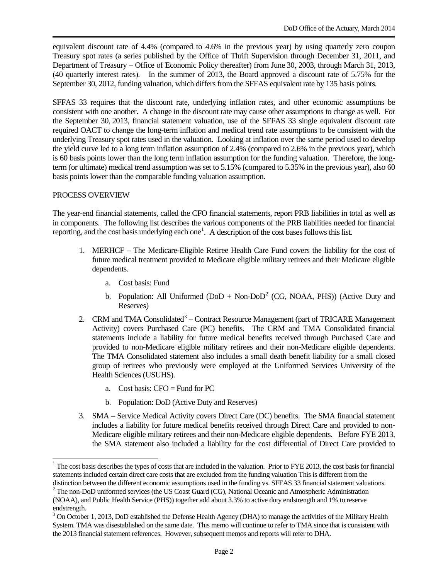equivalent discount rate of 4.4% (compared to 4.6% in the previous year) by using quarterly zero coupon Treasury spot rates (a series published by the Office of Thrift Supervision through December 31, 2011, and Department of Treasury – Office of Economic Policy thereafter) from June 30, 2003, through March 31, 2013, (40 quarterly interest rates). In the summer of 2013, the Board approved a discount rate of 5.75% for the September 30, 2012, funding valuation, which differs from the SFFAS equivalent rate by 135 basis points.

SFFAS 33 requires that the discount rate, underlying inflation rates, and other economic assumptions be consistent with one another. A change in the discount rate may cause other assumptions to change as well. For the September 30, 2013, financial statement valuation, use of the SFFAS 33 single equivalent discount rate required OACT to change the long-term inflation and medical trend rate assumptions to be consistent with the underlying Treasury spot rates used in the valuation. Looking at inflation over the same period used to develop the yield curve led to a long term inflation assumption of 2.4% (compared to 2.6% in the previous year), which is 60 basis points lower than the long term inflation assumption for the funding valuation. Therefore, the longterm (or ultimate) medical trend assumption was set to 5.15% (compared to 5.35% in the previous year), also 60 basis points lower than the comparable funding valuation assumption.

## PROCESS OVERVIEW

j

The year-end financial statements, called the CFO financial statements, report PRB liabilities in total as well as in components. The following list describes the various components of the PRB liabilities needed for financial reporting, and the cost basis underlying each one<sup>[1](#page-1-0)</sup>. A description of the cost bases follows this list.

- 1. MERHCF The Medicare-Eligible Retiree Health Care Fund covers the liability for the cost of future medical treatment provided to Medicare eligible military retirees and their Medicare eligible dependents.
	- a. Cost basis: Fund
	- b. Population: All Uniformed  $(DoD + Non-DoD<sup>2</sup> (CG, NOAA, PHS))$  $(DoD + Non-DoD<sup>2</sup> (CG, NOAA, PHS))$  $(DoD + Non-DoD<sup>2</sup> (CG, NOAA, PHS))$  (Active Duty and Reserves)
- 2. CRM and TMA Consolidated<sup>[3](#page-1-2)</sup> Contract Resource Management (part of TRICARE Management Activity) covers Purchased Care (PC) benefits. The CRM and TMA Consolidated financial statements include a liability for future medical benefits received through Purchased Care and provided to non-Medicare eligible military retirees and their non-Medicare eligible dependents. The TMA Consolidated statement also includes a small death benefit liability for a small closed group of retirees who previously were employed at the Uniformed Services University of the Health Sciences (USUHS).
	- a. Cost basis:  $CFO = Fund for PC$
	- b. Population: DoD (Active Duty and Reserves)
- 3. SMA Service Medical Activity covers Direct Care (DC) benefits. The SMA financial statement includes a liability for future medical benefits received through Direct Care and provided to non-Medicare eligible military retirees and their non-Medicare eligible dependents. Before FYE 2013, the SMA statement also included a liability for the cost differential of Direct Care provided to

<span id="page-1-0"></span> $1$ . The cost basis describes the types of costs that are included in the valuation. Prior to FYE 2013, the cost basis for financial statements included certain direct care costs that are excluded from the funding valuation This is different from the

<span id="page-1-1"></span>distinction between the different economic assumptions used in the funding vs. SFFAS 33 financial statement valuations.  $2^2$  The non-DoD uniformed services (the US Coast Guard (CG), National Oceanic and Atmospheric Admin (NOAA), and Public Health Service (PHS)) together add about 3.3% to active duty endstrength and 1% to reserve

<span id="page-1-2"></span>endstrength.<br><sup>3</sup> On October 1, 2013, DoD established the Defense Health Agency (DHA) to manage the activities of the Military Health System. TMA was disestablished on the same date. This memo will continue to refer to TMA since that is consistent with the 2013 financial statement references. However, subsequent memos and reports will refer to DHA.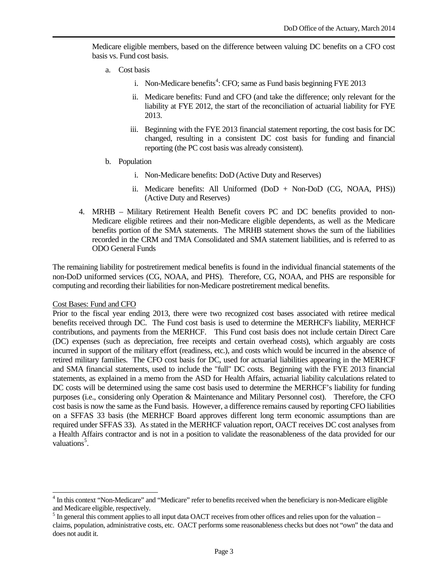Medicare eligible members, based on the difference between valuing DC benefits on a CFO cost basis vs. Fund cost basis.

- a. Cost basis
	- i. Non-Medicare benefits<sup>[4](#page-2-0)</sup>: CFO; same as Fund basis beginning FYE 2013
	- ii. Medicare benefits: Fund and CFO (and take the difference; only relevant for the liability at FYE 2012, the start of the reconciliation of actuarial liability for FYE 2013.
	- iii. Beginning with the FYE 2013 financial statement reporting, the cost basis for DC changed, resulting in a consistent DC cost basis for funding and financial reporting (the PC cost basis was already consistent).
- b. Population
	- i. Non-Medicare benefits: DoD (Active Duty and Reserves)
	- ii. Medicare benefits: All Uniformed (DoD + Non-DoD (CG, NOAA, PHS)) (Active Duty and Reserves)
- 4. MRHB Military Retirement Health Benefit covers PC and DC benefits provided to non-Medicare eligible retirees and their non-Medicare eligible dependents, as well as the Medicare benefits portion of the SMA statements. The MRHB statement shows the sum of the liabilities recorded in the CRM and TMA Consolidated and SMA statement liabilities, and is referred to as ODO General Funds

The remaining liability for postretirement medical benefits is found in the individual financial statements of the non-DoD uniformed services (CG, NOAA, and PHS). Therefore, CG, NOAA, and PHS are responsible for computing and recording their liabilities for non-Medicare postretirement medical benefits.

#### Cost Bases: Fund and CFO

-

Prior to the fiscal year ending 2013, there were two recognized cost bases associated with retiree medical benefits received through DC. The Fund cost basis is used to determine the MERHCF's liability, MERHCF contributions, and payments from the MERHCF. This Fund cost basis does not include certain Direct Care (DC) expenses (such as depreciation, free receipts and certain overhead costs), which arguably are costs incurred in support of the military effort (readiness, etc.), and costs which would be incurred in the absence of retired military families. The CFO cost basis for DC, used for actuarial liabilities appearing in the MERHCF and SMA financial statements, used to include the "full" DC costs. Beginning with the FYE 2013 financial statements, as explained in a memo from the ASD for Health Affairs, actuarial liability calculations related to DC costs will be determined using the same cost basis used to determine the MERHCF's liability for funding purposes (i.e., considering only Operation & Maintenance and Military Personnel cost). Therefore, the CFO cost basis is now the same as the Fund basis. However, a difference remains caused by reporting CFO liabilities on a SFFAS 33 basis (the MERHCF Board approves different long term economic assumptions than are required under SFFAS 33). As stated in the MERHCF valuation report, OACT receives DC cost analyses from a Health Affairs contractor and is not in a position to validate the reasonableness of the data provided for our valuations<sup>[5](#page-2-1)</sup>.

<span id="page-2-0"></span><sup>&</sup>lt;sup>4</sup> In this context "Non-Medicare" and "Medicare" refer to benefits received when the beneficiary is non-Medicare eligible and Medicare eligible, respectively.<br><sup>5</sup> In general this comment applies to all input data OACT receives from other offices and relies upon for the valuation –

<span id="page-2-1"></span>claims, population, administrative costs, etc. OACT performs some reasonableness checks but does not "own" the data and does not audit it.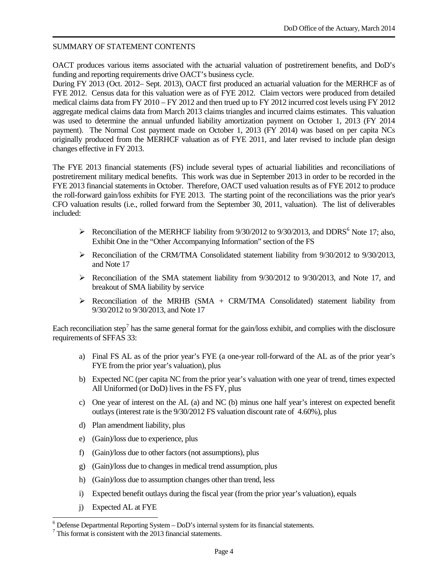#### SUMMARY OF STATEMENT CONTENTS

OACT produces various items associated with the actuarial valuation of postretirement benefits, and DoD's funding and reporting requirements drive OACT's business cycle.

During FY 2013 (Oct. 2012– Sept. 2013), OACT first produced an actuarial valuation for the MERHCF as of FYE 2012. Census data for this valuation were as of FYE 2012. Claim vectors were produced from detailed medical claims data from FY 2010 – FY 2012 and then trued up to FY 2012 incurred cost levels using FY 2012 aggregate medical claims data from March 2013 claims triangles and incurred claims estimates. This valuation was used to determine the annual unfunded liability amortization payment on October 1, 2013 (FY 2014 payment). The Normal Cost payment made on October 1, 2013 (FY 2014) was based on per capita NCs originally produced from the MERHCF valuation as of FYE 2011, and later revised to include plan design changes effective in FY 2013.

The FYE 2013 financial statements (FS) include several types of actuarial liabilities and reconciliations of postretirement military medical benefits. This work was due in September 2013 in order to be recorded in the FYE 2013 financial statements in October. Therefore, OACT used valuation results as of FYE 2012 to produce the roll-forward gain/loss exhibits for FYE 2013. The starting point of the reconciliations was the prior year's CFO valuation results (i.e., rolled forward from the September 30, 2011, valuation). The list of deliverables included:

- Reconciliation of the MERHCF liability from  $9/30/2012$  to  $9/30/2013$ , and DDRS<sup>[6](#page-3-0)</sup> Note 17; also, Exhibit One in the "Other Accompanying Information" section of the FS
- $\triangleright$  Reconciliation of the CRM/TMA Consolidated statement liability from 9/30/2012 to 9/30/2013, and Note 17
- $\triangleright$  Reconciliation of the SMA statement liability from 9/30/2012 to 9/30/2013, and Note 17, and breakout of SMA liability by service
- $\triangleright$  Reconciliation of the MRHB (SMA + CRM/TMA Consolidated) statement liability from 9/30/2012 to 9/30/2013, and Note 17

Each reconciliation step<sup>[7](#page-3-1)</sup> has the same general format for the gain/loss exhibit, and complies with the disclosure requirements of SFFAS 33:

- a) Final FS AL as of the prior year's FYE (a one-year roll-forward of the AL as of the prior year's FYE from the prior year's valuation), plus
- b) Expected NC (per capita NC from the prior year's valuation with one year of trend, times expected All Uniformed (or DoD) lives in the FS FY, plus
- c) One year of interest on the AL (a) and NC (b) minus one half year's interest on expected benefit outlays (interest rate is the 9/30/2012 FS valuation discount rate of 4.60%), plus
- d) Plan amendment liability, plus
- e) (Gain)/loss due to experience, plus
- f) (Gain)/loss due to other factors (not assumptions), plus
- g) (Gain)/loss due to changes in medical trend assumption, plus
- h) (Gain)/loss due to assumption changes other than trend, less
- i) Expected benefit outlays during the fiscal year (from the prior year's valuation), equals
- j) Expected AL at FYE

<span id="page-3-0"></span><sup>&</sup>lt;sup>6</sup> Defense Departmental Reporting System – DoD's internal system for its financial statements.<br><sup>7</sup> This format is consistent with the 2013 financial statements. j

<span id="page-3-1"></span>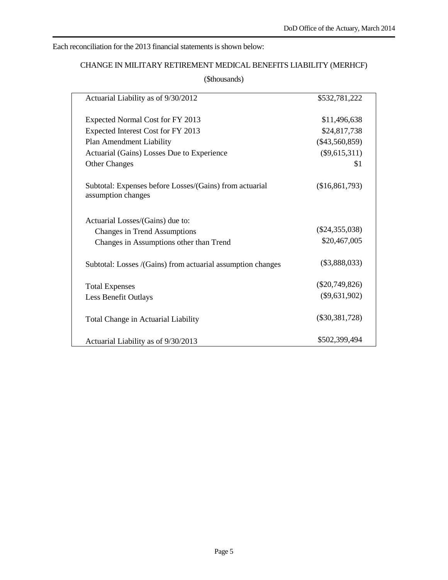# Each reconciliation for the 2013 financial statements is shown below:

# CHANGE IN MILITARY RETIREMENT MEDICAL BENEFITS LIABILITY (MERHCF)

(\$thousands)

| Actuarial Liability as of 9/30/2012                                           | \$532,781,222    |
|-------------------------------------------------------------------------------|------------------|
| Expected Normal Cost for FY 2013                                              | \$11,496,638     |
| Expected Interest Cost for FY 2013                                            | \$24,817,738     |
| Plan Amendment Liability                                                      | $(\$43,560,859)$ |
| Actuarial (Gains) Losses Due to Experience                                    | $(\$9,615,311)$  |
| <b>Other Changes</b>                                                          | \$1              |
| Subtotal: Expenses before Losses/(Gains) from actuarial<br>assumption changes | (\$16,861,793)   |
| Actuarial Losses/(Gains) due to:                                              |                  |
| <b>Changes in Trend Assumptions</b>                                           | $(\$24,355,038)$ |
| Changes in Assumptions other than Trend                                       | \$20,467,005     |
| Subtotal: Losses /(Gains) from actuarial assumption changes                   | $(\$3,888,033)$  |
| <b>Total Expenses</b>                                                         | $(\$20,749,826)$ |
| Less Benefit Outlays                                                          | $(\$9,631,902)$  |
| Total Change in Actuarial Liability                                           | $(\$30,381,728)$ |
| Actuarial Liability as of 9/30/2013                                           | \$502,399,494    |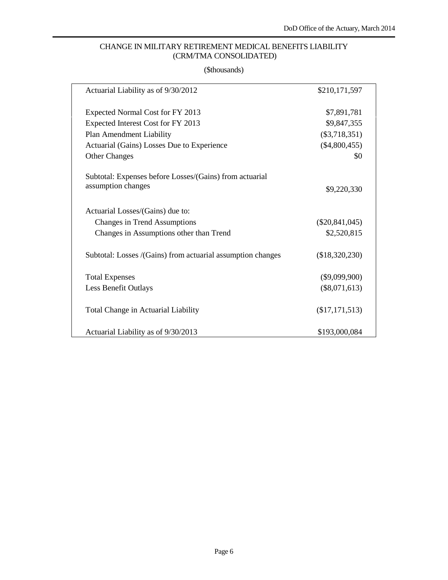# CHANGE IN MILITARY RETIREMENT MEDICAL BENEFITS LIABILITY (CRM/TMA CONSOLIDATED)

# (\$thousands)

| Actuarial Liability as of 9/30/2012                         | \$210,171,597    |
|-------------------------------------------------------------|------------------|
| Expected Normal Cost for FY 2013                            | \$7,891,781      |
| Expected Interest Cost for FY 2013                          | \$9,847,355      |
| Plan Amendment Liability                                    | $(\$3,718,351)$  |
| Actuarial (Gains) Losses Due to Experience                  | $(\$4,800,455)$  |
| <b>Other Changes</b>                                        | \$0              |
| Subtotal: Expenses before Losses/(Gains) from actuarial     |                  |
| assumption changes                                          | \$9,220,330      |
| Actuarial Losses/(Gains) due to:                            |                  |
| Changes in Trend Assumptions                                | $(\$20,841,045)$ |
| Changes in Assumptions other than Trend                     | \$2,520,815      |
| Subtotal: Losses /(Gains) from actuarial assumption changes | (\$18,320,230)   |
| <b>Total Expenses</b>                                       | $(\$9,099,900)$  |
| Less Benefit Outlays                                        | $(\$8,071,613)$  |
| Total Change in Actuarial Liability                         | (\$17,171,513)   |
| Actuarial Liability as of 9/30/2013                         | \$193,000,084    |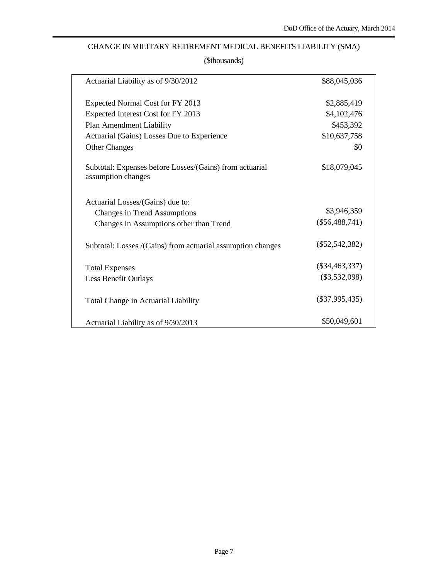# CHANGE IN MILITARY RETIREMENT MEDICAL BENEFITS LIABILITY (SMA)

| Actuarial Liability as of 9/30/2012                                           | \$88,045,036     |  |
|-------------------------------------------------------------------------------|------------------|--|
| Expected Normal Cost for FY 2013                                              | \$2,885,419      |  |
| Expected Interest Cost for FY 2013                                            | \$4,102,476      |  |
| Plan Amendment Liability                                                      | \$453,392        |  |
| Actuarial (Gains) Losses Due to Experience                                    | \$10,637,758     |  |
| <b>Other Changes</b>                                                          | \$0              |  |
| Subtotal: Expenses before Losses/(Gains) from actuarial<br>assumption changes | \$18,079,045     |  |
| Actuarial Losses/(Gains) due to:                                              |                  |  |
| Changes in Trend Assumptions                                                  | \$3,946,359      |  |
| Changes in Assumptions other than Trend                                       | $(\$56,488,741)$ |  |
| Subtotal: Losses /(Gains) from actuarial assumption changes                   | $(\$52,542,382)$ |  |
| <b>Total Expenses</b>                                                         | $(\$34,463,337)$ |  |
| Less Benefit Outlays                                                          | $(\$3,532,098)$  |  |
| Total Change in Actuarial Liability                                           | $(\$37,995,435)$ |  |
| Actuarial Liability as of 9/30/2013                                           | \$50,049,601     |  |
|                                                                               |                  |  |

## (\$thousands)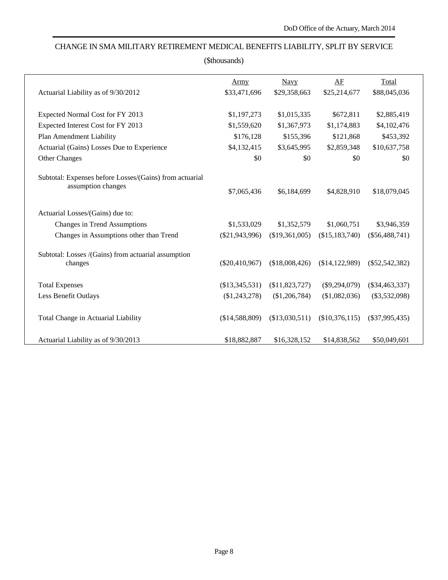# CHANGE IN SMA MILITARY RETIREMENT MEDICAL BENEFITS LIABILITY, SPLIT BY SERVICE

| (\$thousands)                                                                 |                  |                |                 |                  |  |  |  |  |
|-------------------------------------------------------------------------------|------------------|----------------|-----------------|------------------|--|--|--|--|
|                                                                               | Army             | <b>Navy</b>    | AF              | Total            |  |  |  |  |
| Actuarial Liability as of 9/30/2012                                           | \$33,471,696     | \$29,358,663   | \$25,214,677    | \$88,045,036     |  |  |  |  |
| Expected Normal Cost for FY 2013                                              | \$1,197,273      | \$1,015,335    | \$672,811       | \$2,885,419      |  |  |  |  |
| Expected Interest Cost for FY 2013                                            | \$1,559,620      | \$1,367,973    | \$1,174,883     | \$4,102,476      |  |  |  |  |
| Plan Amendment Liability                                                      | \$176,128        | \$155,396      | \$121,868       | \$453,392        |  |  |  |  |
| Actuarial (Gains) Losses Due to Experience                                    | \$4,132,415      | \$3,645,995    | \$2,859,348     | \$10,637,758     |  |  |  |  |
| Other Changes                                                                 | \$0              | \$0            | \$0             | \$0              |  |  |  |  |
| Subtotal: Expenses before Losses/(Gains) from actuarial<br>assumption changes | \$7,065,436      | \$6,184,699    | \$4,828,910     | \$18,079,045     |  |  |  |  |
| Actuarial Losses/(Gains) due to:                                              |                  |                |                 |                  |  |  |  |  |
| Changes in Trend Assumptions                                                  | \$1,533,029      | \$1,352,579    | \$1,060,751     | \$3,946,359      |  |  |  |  |
| Changes in Assumptions other than Trend                                       | $(\$21,943,996)$ | (\$19,361,005) | (\$15,183,740)  | $(\$56,488,741)$ |  |  |  |  |
| Subtotal: Losses /(Gains) from actuarial assumption<br>changes                | $(\$20,410,967)$ | (\$18,008,426) | (\$14,122,989)  | $(\$52,542,382)$ |  |  |  |  |
| <b>Total Expenses</b>                                                         | (\$13,345,531)   | (\$11,823,727) | $(\$9,294,079)$ | $(\$34,463,337)$ |  |  |  |  |
| Less Benefit Outlays                                                          | $(\$1,243,278)$  | (\$1,206,784)  | (\$1,082,036)   | $(\$3,532,098)$  |  |  |  |  |
| Total Change in Actuarial Liability                                           | (\$14,588,809)   | (\$13,030,511) | (\$10,376,115)  | $(\$37,995,435)$ |  |  |  |  |
| Actuarial Liability as of 9/30/2013                                           | \$18,882,887     | \$16,328,152   | \$14,838,562    | \$50,049,601     |  |  |  |  |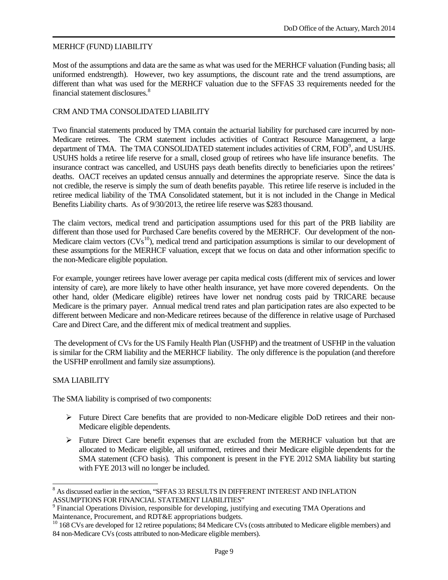#### MERHCF (FUND) LIABILITY

Most of the assumptions and data are the same as what was used for the MERHCF valuation (Funding basis; all uniformed endstrength). However, two key assumptions, the discount rate and the trend assumptions, are different than what was used for the MERHCF valuation due to the SFFAS 33 requirements needed for the financial statement disclosures.[8](#page-8-0)

#### CRM AND TMA CONSOLIDATED LIABILITY

Two financial statements produced by TMA contain the actuarial liability for purchased care incurred by non-Medicare retirees. The CRM statement includes activities of Contract Resource Management, a large department of TMA. The TMA CONSOLIDATED statement includes activities of CRM, FOD<sup>[9](#page-8-1)</sup>, and USUHS. USUHS holds a retiree life reserve for a small, closed group of retirees who have life insurance benefits. The insurance contract was cancelled, and USUHS pays death benefits directly to beneficiaries upon the retirees' deaths. OACT receives an updated census annually and determines the appropriate reserve. Since the data is not credible, the reserve is simply the sum of death benefits payable. This retiree life reserve is included in the retiree medical liability of the TMA Consolidated statement, but it is not included in the Change in Medical Benefits Liability charts. As of 9/30/2013, the retiree life reserve was \$283 thousand.

The claim vectors, medical trend and participation assumptions used for this part of the PRB liability are different than those used for Purchased Care benefits covered by the MERHCF. Our development of the non-Medicare claim vectors  $(CVs^{10})$  $(CVs^{10})$  $(CVs^{10})$ , medical trend and participation assumptions is similar to our development of these assumptions for the MERHCF valuation, except that we focus on data and other information specific to the non-Medicare eligible population.

For example, younger retirees have lower average per capita medical costs (different mix of services and lower intensity of care), are more likely to have other health insurance, yet have more covered dependents. On the other hand, older (Medicare eligible) retirees have lower net nondrug costs paid by TRICARE because Medicare is the primary payer. Annual medical trend rates and plan participation rates are also expected to be different between Medicare and non-Medicare retirees because of the difference in relative usage of Purchased Care and Direct Care, and the different mix of medical treatment and supplies.

The development of CVs for the US Family Health Plan (USFHP) and the treatment of USFHP in the valuation is similar for the CRM liability and the MERHCF liability. The only difference is the population (and therefore the USFHP enrollment and family size assumptions).

#### SMA LIABILITY

j

The SMA liability is comprised of two components:

- $\triangleright$  Future Direct Care benefits that are provided to non-Medicare eligible DoD retirees and their non-Medicare eligible dependents.
- $\triangleright$  Future Direct Care benefit expenses that are excluded from the MERHCF valuation but that are allocated to Medicare eligible, all uniformed, retirees and their Medicare eligible dependents for the SMA statement (CFO basis). This component is present in the FYE 2012 SMA liability but starting with FYE 2013 will no longer be included.

<span id="page-8-0"></span> $^8$  As discussed earlier in the section, "SFFAS 33 RESULTS IN DIFFERENT INTEREST AND INFLATION ASSUMPTIONS FOR FINANCIAL STATEMENT LIABILITIES"

<span id="page-8-1"></span><sup>&</sup>lt;sup>9</sup> Financial Operations Division, responsible for developing, justifying and executing TMA Operations and Maintenance, Procurement, and RDT&E appropriations budgets.

<span id="page-8-2"></span> $10\,168$  CVs are developed for 12 retiree populations; 84 Medicare CVs (costs attributed to Medicare eligible members) and 84 non-Medicare CVs (costs attributed to non-Medicare eligible members).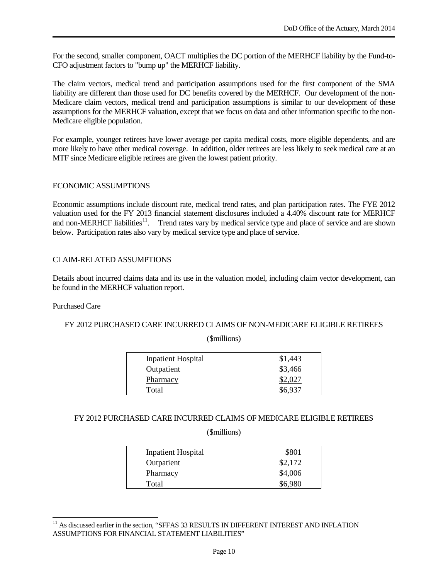For the second, smaller component, OACT multiplies the DC portion of the MERHCF liability by the Fund-to-CFO adjustment factors to "bump up" the MERHCF liability.

The claim vectors, medical trend and participation assumptions used for the first component of the SMA liability are different than those used for DC benefits covered by the MERHCF. Our development of the non-Medicare claim vectors, medical trend and participation assumptions is similar to our development of these assumptions for the MERHCF valuation, except that we focus on data and other information specific to the non-Medicare eligible population.

For example, younger retirees have lower average per capita medical costs, more eligible dependents, and are more likely to have other medical coverage. In addition, older retirees are less likely to seek medical care at an MTF since Medicare eligible retirees are given the lowest patient priority.

## ECONOMIC ASSUMPTIONS

Economic assumptions include discount rate, medical trend rates, and plan participation rates. The FYE 2012 valuation used for the FY 2013 financial statement disclosures included a 4.40% discount rate for MERHCF and non-MERHCF liabilities<sup>11</sup>. Trend rates vary by medical service type and place of service and are shown below. Participation rates also vary by medical service type and place of service.

## CLAIM-RELATED ASSUMPTIONS

Details about incurred claims data and its use in the valuation model, including claim vector development, can be found in the MERHCF valuation report.

#### Purchased Care

#### FY 2012 PURCHASED CARE INCURRED CLAIMS OF NON-MEDICARE ELIGIBLE RETIREES

(\$millions)

| <b>Inpatient Hospital</b> | \$1,443 |
|---------------------------|---------|
| Outpatient                | \$3,466 |
| Pharmacy                  | \$2,027 |
| Total                     | \$6,937 |

#### FY 2012 PURCHASED CARE INCURRED CLAIMS OF MEDICARE ELIGIBLE RETIREES

(\$millions)

| <b>Inpatient Hospital</b> | \$801   |
|---------------------------|---------|
| Outpatient                | \$2,172 |
| Pharmacy                  | \$4,006 |
| Total                     | \$6,980 |

<span id="page-9-0"></span> $11$  As discussed earlier in the section, "SFFAS 33 RESULTS IN DIFFERENT INTEREST AND INFLATION ASSUMPTIONS FOR FINANCIAL STATEMENT LIABILITIES" j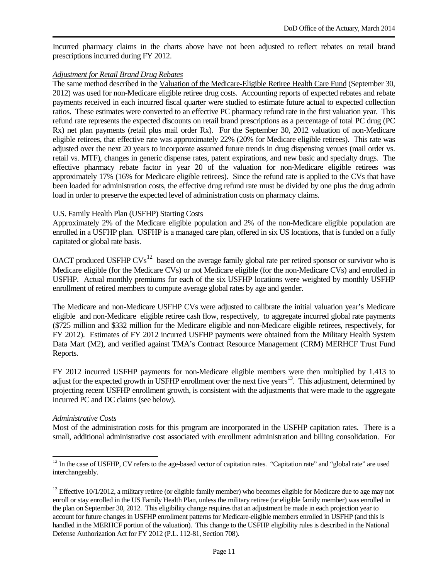Incurred pharmacy claims in the charts above have not been adjusted to reflect rebates on retail brand prescriptions incurred during FY 2012.

#### *Adjustment for Retail Brand Drug Rebates*

The same method described in the Valuation of the Medicare-Eligible Retiree Health Care Fund (September 30, 2012) was used for non-Medicare eligible retiree drug costs. Accounting reports of expected rebates and rebate payments received in each incurred fiscal quarter were studied to estimate future actual to expected collection ratios. These estimates were converted to an effective PC pharmacy refund rate in the first valuation year. This refund rate represents the expected discounts on retail brand prescriptions as a percentage of total PC drug (PC Rx) net plan payments (retail plus mail order Rx). For the September 30, 2012 valuation of non-Medicare eligible retirees, that effective rate was approximately 22% (20% for Medicare eligible retirees). This rate was adjusted over the next 20 years to incorporate assumed future trends in drug dispensing venues (mail order vs. retail vs. MTF), changes in generic dispense rates, patent expirations, and new basic and specialty drugs. The effective pharmacy rebate factor in year 20 of the valuation for non-Medicare eligible retirees was approximately 17% (16% for Medicare eligible retirees). Since the refund rate is applied to the CVs that have been loaded for administration costs, the effective drug refund rate must be divided by one plus the drug admin load in order to preserve the expected level of administration costs on pharmacy claims.

#### U.S. Family Health Plan (USFHP) Starting Costs

Approximately 2% of the Medicare eligible population and 2% of the non-Medicare eligible population are enrolled in a USFHP plan. USFHP is a managed care plan, offered in six US locations, that is funded on a fully capitated or global rate basis.

OACT produced USFHP  $CVs<sup>12</sup>$  based on the average family global rate per retired sponsor or survivor who is Medicare eligible (for the Medicare CVs) or not Medicare eligible (for the non-Medicare CVs) and enrolled in USFHP. Actual monthly premiums for each of the six USFHP locations were weighted by monthly USFHP enrollment of retired members to compute average global rates by age and gender.

The Medicare and non-Medicare USFHP CVs were adjusted to calibrate the initial valuation year's Medicare eligible and non-Medicare eligible retiree cash flow, respectively, to aggregate incurred global rate payments (\$725 million and \$332 million for the Medicare eligible and non-Medicare eligible retirees, respectively, for FY 2012). Estimates of FY 2012 incurred USFHP payments were obtained from the Military Health System Data Mart (M2), and verified against TMA's Contract Resource Management (CRM) MERHCF Trust Fund Reports.

FY 2012 incurred USFHP payments for non-Medicare eligible members were then multiplied by 1.413 to adjust for the expected growth in USFHP enrollment over the next five years<sup>[13](#page-10-1)</sup>. This adjustment, determined by projecting recent USFHP enrollment growth, is consistent with the adjustments that were made to the aggregate incurred PC and DC claims (see below).

#### *Administrative Costs*

Most of the administration costs for this program are incorporated in the USFHP capitation rates. There is a small, additional administrative cost associated with enrollment administration and billing consolidation. For

<span id="page-10-0"></span> $12$  In the case of USFHP, CV refers to the age-based vector of capitation rates. "Capitation rate" and "global rate" are used interchangeably. j

<span id="page-10-1"></span> $<sup>13</sup>$  Effective 10/1/2012, a military retiree (or eligible family member) who becomes eligible for Medicare due to age may not</sup> enroll or stay enrolled in the US Family Health Plan, unless the military retiree (or eligible family member) was enrolled in the plan on September 30, 2012. This eligibility change requires that an adjustment be made in each projection year to account for future changes in USFHP enrollment patterns for Medicare-eligible members enrolled in USFHP (and this is handled in the MERHCF portion of the valuation). This change to the USFHP eligibility rules is described in the National Defense Authorization Act for FY 2012 (P.L. 112-81, Section 708).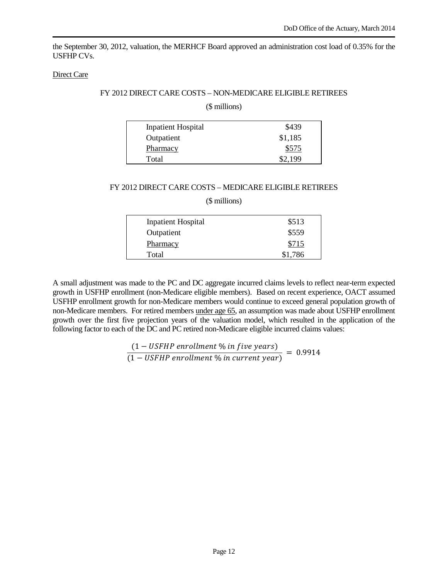the September 30, 2012, valuation, the MERHCF Board approved an administration cost load of 0.35% for the USFHP CVs.

#### Direct Care

#### FY 2012 DIRECT CARE COSTS – NON-MEDICARE ELIGIBLE RETIREES

#### (\$ millions)

| <b>Inpatient Hospital</b> | \$439   |
|---------------------------|---------|
| Outpatient                | \$1,185 |
| Pharmacy                  | \$575   |
| Total                     | \$2.199 |

#### FY 2012 DIRECT CARE COSTS – MEDICARE ELIGIBLE RETIREES

(\$ millions)

| <b>Inpatient Hospital</b> | \$513   |
|---------------------------|---------|
| Outpatient                | \$559   |
| Pharmacy                  | \$715   |
| Total                     | \$1,786 |

A small adjustment was made to the PC and DC aggregate incurred claims levels to reflect near-term expected growth in USFHP enrollment (non-Medicare eligible members). Based on recent experience, OACT assumed USFHP enrollment growth for non-Medicare members would continue to exceed general population growth of non-Medicare members. For retired members under age 65, an assumption was made about USFHP enrollment growth over the first five projection years of the valuation model, which resulted in the application of the following factor to each of the DC and PC retired non-Medicare eligible incurred claims values:

$$
\frac{(1 - USFHP \text{ enrollment } \% \text{ in five years})}{(1 - USFHP \text{ enrollment } \% \text{ in current year})} = 0.9914
$$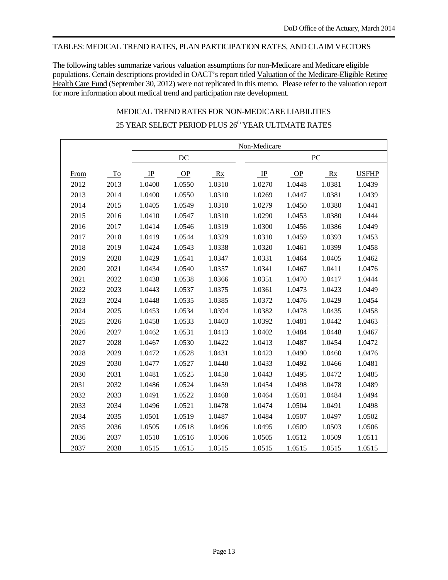### TABLES: MEDICAL TREND RATES, PLAN PARTICIPATION RATES, AND CLAIM VECTORS

The following tables summarize various valuation assumptions for non-Medicare and Medicare eligible populations. Certain descriptions provided in OACT's report titled Valuation of the Medicare-Eligible Retiree Health Care Fund (September 30, 2012) were not replicated in this memo. Please refer to the valuation report for more information about medical trend and participation rate development.

# MEDICAL TREND RATES FOR NON-MEDICARE LIABILITIES 25 YEAR SELECT PERIOD PLUS 26<sup>th</sup> YEAR ULTIMATE RATES

|      |      |             |        |        | Non-Medicare |        |        |              |
|------|------|-------------|--------|--------|--------------|--------|--------|--------------|
|      |      |             | DC     |        |              |        | PC     |              |
| From | To   | $_{\rm IP}$ | OP     | Rx     | $\mathbb{P}$ | OP     | Rx     | <b>USFHP</b> |
| 2012 | 2013 | 1.0400      | 1.0550 | 1.0310 | 1.0270       | 1.0448 | 1.0381 | 1.0439       |
|      |      |             |        |        |              |        |        |              |
| 2013 | 2014 | 1.0400      | 1.0550 | 1.0310 | 1.0269       | 1.0447 | 1.0381 | 1.0439       |
| 2014 | 2015 | 1.0405      | 1.0549 | 1.0310 | 1.0279       | 1.0450 | 1.0380 | 1.0441       |
| 2015 | 2016 | 1.0410      | 1.0547 | 1.0310 | 1.0290       | 1.0453 | 1.0380 | 1.0444       |
| 2016 | 2017 | 1.0414      | 1.0546 | 1.0319 | 1.0300       | 1.0456 | 1.0386 | 1.0449       |
| 2017 | 2018 | 1.0419      | 1.0544 | 1.0329 | 1.0310       | 1.0459 | 1.0393 | 1.0453       |
| 2018 | 2019 | 1.0424      | 1.0543 | 1.0338 | 1.0320       | 1.0461 | 1.0399 | 1.0458       |
| 2019 | 2020 | 1.0429      | 1.0541 | 1.0347 | 1.0331       | 1.0464 | 1.0405 | 1.0462       |
| 2020 | 2021 | 1.0434      | 1.0540 | 1.0357 | 1.0341       | 1.0467 | 1.0411 | 1.0476       |
| 2021 | 2022 | 1.0438      | 1.0538 | 1.0366 | 1.0351       | 1.0470 | 1.0417 | 1.0444       |
| 2022 | 2023 | 1.0443      | 1.0537 | 1.0375 | 1.0361       | 1.0473 | 1.0423 | 1.0449       |
| 2023 | 2024 | 1.0448      | 1.0535 | 1.0385 | 1.0372       | 1.0476 | 1.0429 | 1.0454       |
| 2024 | 2025 | 1.0453      | 1.0534 | 1.0394 | 1.0382       | 1.0478 | 1.0435 | 1.0458       |
| 2025 | 2026 | 1.0458      | 1.0533 | 1.0403 | 1.0392       | 1.0481 | 1.0442 | 1.0463       |
| 2026 | 2027 | 1.0462      | 1.0531 | 1.0413 | 1.0402       | 1.0484 | 1.0448 | 1.0467       |
| 2027 | 2028 | 1.0467      | 1.0530 | 1.0422 | 1.0413       | 1.0487 | 1.0454 | 1.0472       |
| 2028 | 2029 | 1.0472      | 1.0528 | 1.0431 | 1.0423       | 1.0490 | 1.0460 | 1.0476       |
| 2029 | 2030 | 1.0477      | 1.0527 | 1.0440 | 1.0433       | 1.0492 | 1.0466 | 1.0481       |
| 2030 | 2031 | 1.0481      | 1.0525 | 1.0450 | 1.0443       | 1.0495 | 1.0472 | 1.0485       |
| 2031 | 2032 | 1.0486      | 1.0524 | 1.0459 | 1.0454       | 1.0498 | 1.0478 | 1.0489       |
| 2032 | 2033 | 1.0491      | 1.0522 | 1.0468 | 1.0464       | 1.0501 | 1.0484 | 1.0494       |
| 2033 | 2034 | 1.0496      | 1.0521 | 1.0478 | 1.0474       | 1.0504 | 1.0491 | 1.0498       |
| 2034 | 2035 | 1.0501      | 1.0519 | 1.0487 | 1.0484       | 1.0507 | 1.0497 | 1.0502       |
| 2035 | 2036 | 1.0505      | 1.0518 | 1.0496 | 1.0495       | 1.0509 | 1.0503 | 1.0506       |
| 2036 | 2037 | 1.0510      | 1.0516 | 1.0506 | 1.0505       | 1.0512 | 1.0509 | 1.0511       |
| 2037 | 2038 | 1.0515      | 1.0515 | 1.0515 | 1.0515       | 1.0515 | 1.0515 | 1.0515       |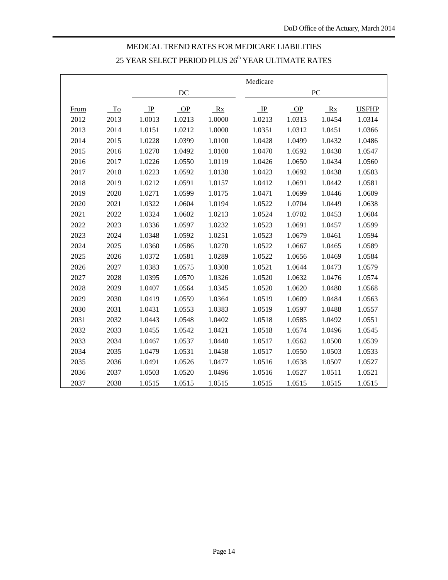# MEDICAL TREND RATES FOR MEDICARE LIABILITIES YEAR SELECT PERIOD PLUS  $26^{\rm th}$  YEAR ULTIMATE RATES

|             |      |         |        |        | Medicare     |        |        |              |
|-------------|------|---------|--------|--------|--------------|--------|--------|--------------|
|             |      |         | DC     |        |              |        | PC     |              |
| <b>From</b> | To   | $\perp$ | OP     | Rx     | $\mathbb{I}$ | OP     | Rx     | <b>USFHP</b> |
| 2012        | 2013 | 1.0013  | 1.0213 | 1.0000 | 1.0213       | 1.0313 | 1.0454 | 1.0314       |
| 2013        | 2014 | 1.0151  | 1.0212 | 1.0000 | 1.0351       | 1.0312 | 1.0451 | 1.0366       |
| 2014        | 2015 | 1.0228  | 1.0399 | 1.0100 | 1.0428       | 1.0499 | 1.0432 | 1.0486       |
| 2015        | 2016 | 1.0270  | 1.0492 | 1.0100 | 1.0470       | 1.0592 | 1.0430 | 1.0547       |
| 2016        | 2017 | 1.0226  | 1.0550 | 1.0119 | 1.0426       | 1.0650 | 1.0434 | 1.0560       |
| 2017        | 2018 | 1.0223  | 1.0592 | 1.0138 | 1.0423       | 1.0692 | 1.0438 | 1.0583       |
| 2018        | 2019 | 1.0212  | 1.0591 | 1.0157 | 1.0412       | 1.0691 | 1.0442 | 1.0581       |
| 2019        | 2020 | 1.0271  | 1.0599 | 1.0175 | 1.0471       | 1.0699 | 1.0446 | 1.0609       |
| 2020        | 2021 | 1.0322  | 1.0604 | 1.0194 | 1.0522       | 1.0704 | 1.0449 | 1.0638       |
| 2021        | 2022 | 1.0324  | 1.0602 | 1.0213 | 1.0524       | 1.0702 | 1.0453 | 1.0604       |
| 2022        | 2023 | 1.0336  | 1.0597 | 1.0232 | 1.0523       | 1.0691 | 1.0457 | 1.0599       |
| 2023        | 2024 | 1.0348  | 1.0592 | 1.0251 | 1.0523       | 1.0679 | 1.0461 | 1.0594       |
| 2024        | 2025 | 1.0360  | 1.0586 | 1.0270 | 1.0522       | 1.0667 | 1.0465 | 1.0589       |
| 2025        | 2026 | 1.0372  | 1.0581 | 1.0289 | 1.0522       | 1.0656 | 1.0469 | 1.0584       |
| 2026        | 2027 | 1.0383  | 1.0575 | 1.0308 | 1.0521       | 1.0644 | 1.0473 | 1.0579       |
| 2027        | 2028 | 1.0395  | 1.0570 | 1.0326 | 1.0520       | 1.0632 | 1.0476 | 1.0574       |
| 2028        | 2029 | 1.0407  | 1.0564 | 1.0345 | 1.0520       | 1.0620 | 1.0480 | 1.0568       |
| 2029        | 2030 | 1.0419  | 1.0559 | 1.0364 | 1.0519       | 1.0609 | 1.0484 | 1.0563       |
| 2030        | 2031 | 1.0431  | 1.0553 | 1.0383 | 1.0519       | 1.0597 | 1.0488 | 1.0557       |
| 2031        | 2032 | 1.0443  | 1.0548 | 1.0402 | 1.0518       | 1.0585 | 1.0492 | 1.0551       |
| 2032        | 2033 | 1.0455  | 1.0542 | 1.0421 | 1.0518       | 1.0574 | 1.0496 | 1.0545       |
| 2033        | 2034 | 1.0467  | 1.0537 | 1.0440 | 1.0517       | 1.0562 | 1.0500 | 1.0539       |
| 2034        | 2035 | 1.0479  | 1.0531 | 1.0458 | 1.0517       | 1.0550 | 1.0503 | 1.0533       |
| 2035        | 2036 | 1.0491  | 1.0526 | 1.0477 | 1.0516       | 1.0538 | 1.0507 | 1.0527       |
| 2036        | 2037 | 1.0503  | 1.0520 | 1.0496 | 1.0516       | 1.0527 | 1.0511 | 1.0521       |
| 2037        | 2038 | 1.0515  | 1.0515 | 1.0515 | 1.0515       | 1.0515 | 1.0515 | 1.0515       |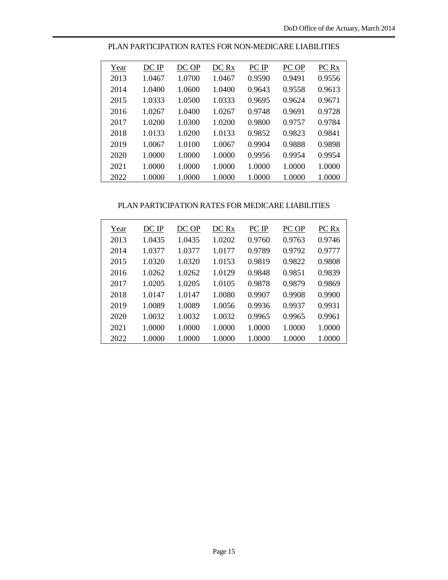| Year | DC IP  | DC OP  | DC Rx  | PC IP  | PC OP  | PC Rx  |
|------|--------|--------|--------|--------|--------|--------|
| 2013 | 1.0467 | 1.0700 | 1.0467 | 0.9590 | 0.9491 | 0.9556 |
| 2014 | 1.0400 | 1.0600 | 1.0400 | 0.9643 | 0.9558 | 0.9613 |
| 2015 | 1.0333 | 1.0500 | 1.0333 | 0.9695 | 0.9624 | 0.9671 |
| 2016 | 1.0267 | 1.0400 | 1.0267 | 0.9748 | 0.9691 | 0.9728 |
| 2017 | 1.0200 | 1.0300 | 1.0200 | 0.9800 | 0.9757 | 0.9784 |
| 2018 | 1.0133 | 1.0200 | 1.0133 | 0.9852 | 0.9823 | 0.9841 |
| 2019 | 1.0067 | 1.0100 | 1.0067 | 0.9904 | 0.9888 | 0.9898 |
| 2020 | 1.0000 | 1.0000 | 1.0000 | 0.9956 | 0.9954 | 0.9954 |
| 2021 | 1.0000 | 1.0000 | 1.0000 | 1.0000 | 1.0000 | 1.0000 |
| 2022 | 1.0000 | 1.0000 | 1.0000 | 1.0000 | 1.0000 | 1.0000 |
|      |        |        |        |        |        |        |

PLAN PARTICIPATION RATES FOR NON-MEDICARE LIABILITIES

#### PLAN PARTICIPATION RATES FOR MEDICARE LIABILITIES

| Year | DC IP  | DC OP  | DC Rx  | PC IP  | PC OP  | PC Rx  |
|------|--------|--------|--------|--------|--------|--------|
| 2013 | 1.0435 | 1.0435 | 1.0202 | 0.9760 | 0.9763 | 0.9746 |
| 2014 | 1.0377 | 1.0377 | 1.0177 | 0.9789 | 0.9792 | 0.9777 |
| 2015 | 1.0320 | 1.0320 | 1.0153 | 0.9819 | 0.9822 | 0.9808 |
| 2016 | 1.0262 | 1.0262 | 1.0129 | 0.9848 | 0.9851 | 0.9839 |
| 2017 | 1.0205 | 1.0205 | 1.0105 | 0.9878 | 0.9879 | 0.9869 |
| 2018 | 1.0147 | 1.0147 | 1.0080 | 0.9907 | 0.9908 | 0.9900 |
| 2019 | 1.0089 | 1.0089 | 1.0056 | 0.9936 | 0.9937 | 0.9931 |
| 2020 | 1.0032 | 1.0032 | 1.0032 | 0.9965 | 0.9965 | 0.9961 |
| 2021 | 1.0000 | 1.0000 | 1.0000 | 1.0000 | 1.0000 | 1.0000 |
| 2022 | 1.0000 | 1.0000 | 1.0000 | 1.0000 | 1.0000 | 1.0000 |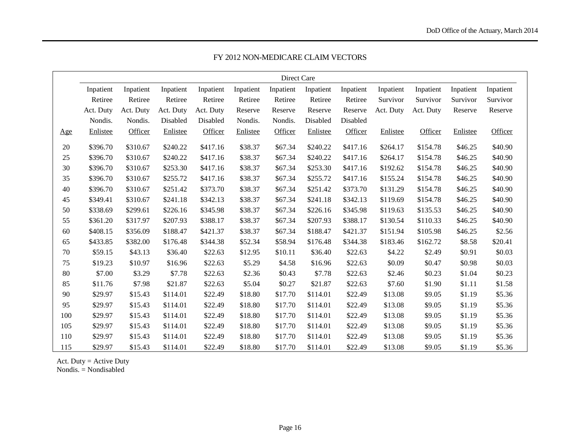|        |           |           |           |           |           | Direct Care |           |           |           |           |           |           |
|--------|-----------|-----------|-----------|-----------|-----------|-------------|-----------|-----------|-----------|-----------|-----------|-----------|
|        | Inpatient | Inpatient | Inpatient | Inpatient | Inpatient | Inpatient   | Inpatient | Inpatient | Inpatient | Inpatient | Inpatient | Inpatient |
|        | Retiree   | Retiree   | Retiree   | Retiree   | Retiree   | Retiree     | Retiree   | Retiree   | Survivor  | Survivor  | Survivor  | Survivor  |
|        | Act. Duty | Act. Duty | Act. Duty | Act. Duty | Reserve   | Reserve     | Reserve   | Reserve   | Act. Duty | Act. Duty | Reserve   | Reserve   |
|        | Nondis.   | Nondis.   | Disabled  | Disabled  | Nondis.   | Nondis.     | Disabled  | Disabled  |           |           |           |           |
| Age    | Enlistee  | Officer   | Enlistee  | Officer   | Enlistee  | Officer     | Enlistee  | Officer   | Enlistee  | Officer   | Enlistee  | Officer   |
| $20\,$ | \$396.70  | \$310.67  | \$240.22  | \$417.16  | \$38.37   | \$67.34     | \$240.22  | \$417.16  | \$264.17  | \$154.78  | \$46.25   | \$40.90   |
| 25     | \$396.70  | \$310.67  | \$240.22  | \$417.16  | \$38.37   | \$67.34     | \$240.22  | \$417.16  | \$264.17  | \$154.78  | \$46.25   | \$40.90   |
| 30     | \$396.70  | \$310.67  | \$253.30  | \$417.16  | \$38.37   | \$67.34     | \$253.30  | \$417.16  | \$192.62  | \$154.78  | \$46.25   | \$40.90   |
| 35     | \$396.70  | \$310.67  | \$255.72  | \$417.16  | \$38.37   | \$67.34     | \$255.72  | \$417.16  | \$155.24  | \$154.78  | \$46.25   | \$40.90   |
| 40     | \$396.70  | \$310.67  | \$251.42  | \$373.70  | \$38.37   | \$67.34     | \$251.42  | \$373.70  | \$131.29  | \$154.78  | \$46.25   | \$40.90   |
| 45     | \$349.41  | \$310.67  | \$241.18  | \$342.13  | \$38.37   | \$67.34     | \$241.18  | \$342.13  | \$119.69  | \$154.78  | \$46.25   | \$40.90   |
| 50     | \$338.69  | \$299.61  | \$226.16  | \$345.98  | \$38.37   | \$67.34     | \$226.16  | \$345.98  | \$119.63  | \$135.53  | \$46.25   | \$40.90   |
| 55     | \$361.20  | \$317.97  | \$207.93  | \$388.17  | \$38.37   | \$67.34     | \$207.93  | \$388.17  | \$130.54  | \$110.33  | \$46.25   | \$40.90   |
| 60     | \$408.15  | \$356.09  | \$188.47  | \$421.37  | \$38.37   | \$67.34     | \$188.47  | \$421.37  | \$151.94  | \$105.98  | \$46.25   | \$2.56    |
| 65     | \$433.85  | \$382.00  | \$176.48  | \$344.38  | \$52.34   | \$58.94     | \$176.48  | \$344.38  | \$183.46  | \$162.72  | \$8.58    | \$20.41   |
| 70     | \$59.15   | \$43.13   | \$36.40   | \$22.63   | \$12.95   | \$10.11     | \$36.40   | \$22.63   | \$4.22    | \$2.49    | \$0.91    | \$0.03    |
| 75     | \$19.23   | \$10.97   | \$16.96   | \$22.63   | \$5.29    | \$4.58      | \$16.96   | \$22.63   | \$0.09    | \$0.47    | \$0.98    | \$0.03    |
| 80     | \$7.00    | \$3.29    | \$7.78    | \$22.63   | \$2.36    | \$0.43      | \$7.78    | \$22.63   | \$2.46    | \$0.23    | \$1.04    | \$0.23    |
| 85     | \$11.76   | \$7.98    | \$21.87   | \$22.63   | \$5.04    | \$0.27      | \$21.87   | \$22.63   | \$7.60    | \$1.90    | \$1.11    | \$1.58    |
| 90     | \$29.97   | \$15.43   | \$114.01  | \$22.49   | \$18.80   | \$17.70     | \$114.01  | \$22.49   | \$13.08   | \$9.05    | \$1.19    | \$5.36    |
| 95     | \$29.97   | \$15.43   | \$114.01  | \$22.49   | \$18.80   | \$17.70     | \$114.01  | \$22.49   | \$13.08   | \$9.05    | \$1.19    | \$5.36    |
| 100    | \$29.97   | \$15.43   | \$114.01  | \$22.49   | \$18.80   | \$17.70     | \$114.01  | \$22.49   | \$13.08   | \$9.05    | \$1.19    | \$5.36    |
| 105    | \$29.97   | \$15.43   | \$114.01  | \$22.49   | \$18.80   | \$17.70     | \$114.01  | \$22.49   | \$13.08   | \$9.05    | \$1.19    | \$5.36    |
| 110    | \$29.97   | \$15.43   | \$114.01  | \$22.49   | \$18.80   | \$17.70     | \$114.01  | \$22.49   | \$13.08   | \$9.05    | \$1.19    | \$5.36    |
| 115    | \$29.97   | \$15.43   | \$114.01  | \$22.49   | \$18.80   | \$17.70     | \$114.01  | \$22.49   | \$13.08   | \$9.05    | \$1.19    | \$5.36    |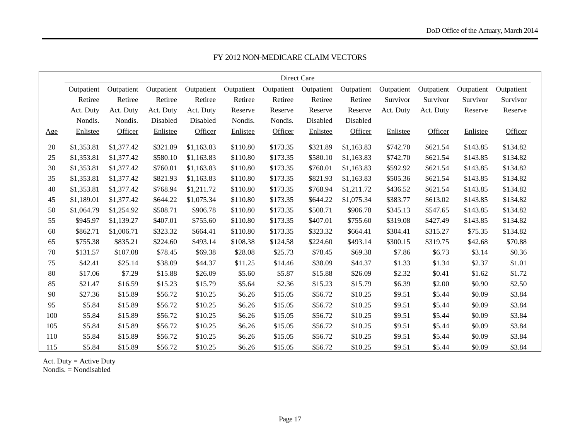|     |            |            |            |            |            |            | Direct Care |            |            |            |            |            |
|-----|------------|------------|------------|------------|------------|------------|-------------|------------|------------|------------|------------|------------|
|     | Outpatient | Outpatient | Outpatient | Outpatient | Outpatient | Outpatient | Outpatient  | Outpatient | Outpatient | Outpatient | Outpatient | Outpatient |
|     | Retiree    | Retiree    | Retiree    | Retiree    | Retiree    | Retiree    | Retiree     | Retiree    | Survivor   | Survivor   | Survivor   | Survivor   |
|     | Act. Duty  | Act. Duty  | Act. Duty  | Act. Duty  | Reserve    | Reserve    | Reserve     | Reserve    | Act. Duty  | Act. Duty  | Reserve    | Reserve    |
|     | Nondis.    | Nondis.    | Disabled   | Disabled   | Nondis.    | Nondis.    | Disabled    | Disabled   |            |            |            |            |
| Age | Enlistee   | Officer    | Enlistee   | Officer    | Enlistee   | Officer    | Enlistee    | Officer    | Enlistee   | Officer    | Enlistee   | Officer    |
| 20  | \$1,353.81 | \$1,377.42 | \$321.89   | \$1,163.83 | \$110.80   | \$173.35   | \$321.89    | \$1,163.83 | \$742.70   | \$621.54   | \$143.85   | \$134.82   |
| 25  | \$1,353.81 | \$1,377.42 | \$580.10   | \$1,163.83 | \$110.80   | \$173.35   | \$580.10    | \$1,163.83 | \$742.70   | \$621.54   | \$143.85   | \$134.82   |
| 30  | \$1,353.81 | \$1,377.42 | \$760.01   | \$1,163.83 | \$110.80   | \$173.35   | \$760.01    | \$1,163.83 | \$592.92   | \$621.54   | \$143.85   | \$134.82   |
| 35  | \$1,353.81 | \$1,377.42 | \$821.93   | \$1,163.83 | \$110.80   | \$173.35   | \$821.93    | \$1,163.83 | \$505.36   | \$621.54   | \$143.85   | \$134.82   |
| 40  | \$1,353.81 | \$1,377.42 | \$768.94   | \$1,211.72 | \$110.80   | \$173.35   | \$768.94    | \$1,211.72 | \$436.52   | \$621.54   | \$143.85   | \$134.82   |
| 45  | \$1,189.01 | \$1,377.42 | \$644.22   | \$1,075.34 | \$110.80   | \$173.35   | \$644.22    | \$1,075.34 | \$383.77   | \$613.02   | \$143.85   | \$134.82   |
| 50  | \$1,064.79 | \$1,254.92 | \$508.71   | \$906.78   | \$110.80   | \$173.35   | \$508.71    | \$906.78   | \$345.13   | \$547.65   | \$143.85   | \$134.82   |
| 55  | \$945.97   | \$1,139.27 | \$407.01   | \$755.60   | \$110.80   | \$173.35   | \$407.01    | \$755.60   | \$319.08   | \$427.49   | \$143.85   | \$134.82   |
| 60  | \$862.71   | \$1,006.71 | \$323.32   | \$664.41   | \$110.80   | \$173.35   | \$323.32    | \$664.41   | \$304.41   | \$315.27   | \$75.35    | \$134.82   |
| 65  | \$755.38   | \$835.21   | \$224.60   | \$493.14   | \$108.38   | \$124.58   | \$224.60    | \$493.14   | \$300.15   | \$319.75   | \$42.68    | \$70.88    |
| 70  | \$131.57   | \$107.08   | \$78.45    | \$69.38    | \$28.08    | \$25.73    | \$78.45     | \$69.38    | \$7.86     | \$6.73     | \$3.14     | \$0.36     |
| 75  | \$42.41    | \$25.14    | \$38.09    | \$44.37    | \$11.25    | \$14.46    | \$38.09     | \$44.37    | \$1.33     | \$1.34     | \$2.37     | \$1.01     |
| 80  | \$17.06    | \$7.29     | \$15.88    | \$26.09    | \$5.60     | \$5.87     | \$15.88     | \$26.09    | \$2.32     | \$0.41     | \$1.62     | \$1.72     |
| 85  | \$21.47    | \$16.59    | \$15.23    | \$15.79    | \$5.64     | \$2.36     | \$15.23     | \$15.79    | \$6.39     | \$2.00     | \$0.90     | \$2.50     |
| 90  | \$27.36    | \$15.89    | \$56.72    | \$10.25    | \$6.26     | \$15.05    | \$56.72     | \$10.25    | \$9.51     | \$5.44     | \$0.09     | \$3.84     |
| 95  | \$5.84     | \$15.89    | \$56.72    | \$10.25    | \$6.26     | \$15.05    | \$56.72     | \$10.25    | \$9.51     | \$5.44     | \$0.09     | \$3.84     |
| 100 | \$5.84     | \$15.89    | \$56.72    | \$10.25    | \$6.26     | \$15.05    | \$56.72     | \$10.25    | \$9.51     | \$5.44     | \$0.09     | \$3.84     |
| 105 | \$5.84     | \$15.89    | \$56.72    | \$10.25    | \$6.26     | \$15.05    | \$56.72     | \$10.25    | \$9.51     | \$5.44     | \$0.09     | \$3.84     |
| 110 | \$5.84     | \$15.89    | \$56.72    | \$10.25    | \$6.26     | \$15.05    | \$56.72     | \$10.25    | \$9.51     | \$5.44     | \$0.09     | \$3.84     |
| 115 | \$5.84     | \$15.89    | \$56.72    | \$10.25    | \$6.26     | \$15.05    | \$56.72     | \$10.25    | \$9.51     | \$5.44     | \$0.09     | \$3.84     |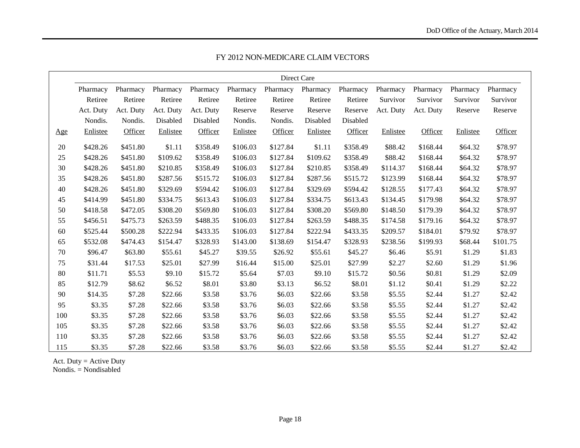|     |           |           |           |           |          |          | Direct Care |          |           |           |          |          |
|-----|-----------|-----------|-----------|-----------|----------|----------|-------------|----------|-----------|-----------|----------|----------|
|     | Pharmacy  | Pharmacy  | Pharmacy  | Pharmacy  | Pharmacy | Pharmacy | Pharmacy    | Pharmacy | Pharmacy  | Pharmacy  | Pharmacy | Pharmacy |
|     | Retiree   | Retiree   | Retiree   | Retiree   | Retiree  | Retiree  | Retiree     | Retiree  | Survivor  | Survivor  | Survivor | Survivor |
|     | Act. Duty | Act. Duty | Act. Duty | Act. Duty | Reserve  | Reserve  | Reserve     | Reserve  | Act. Duty | Act. Duty | Reserve  | Reserve  |
|     | Nondis.   | Nondis.   | Disabled  | Disabled  | Nondis.  | Nondis.  | Disabled    | Disabled |           |           |          |          |
| Age | Enlistee  | Officer   | Enlistee  | Officer   | Enlistee | Officer  | Enlistee    | Officer  | Enlistee  | Officer   | Enlistee | Officer  |
| 20  | \$428.26  | \$451.80  | \$1.11    | \$358.49  | \$106.03 | \$127.84 | \$1.11      | \$358.49 | \$88.42   | \$168.44  | \$64.32  | \$78.97  |
| 25  | \$428.26  | \$451.80  | \$109.62  | \$358.49  | \$106.03 | \$127.84 | \$109.62    | \$358.49 | \$88.42   | \$168.44  | \$64.32  | \$78.97  |
| 30  | \$428.26  | \$451.80  | \$210.85  | \$358.49  | \$106.03 | \$127.84 | \$210.85    | \$358.49 | \$114.37  | \$168.44  | \$64.32  | \$78.97  |
| 35  | \$428.26  | \$451.80  | \$287.56  | \$515.72  | \$106.03 | \$127.84 | \$287.56    | \$515.72 | \$123.99  | \$168.44  | \$64.32  | \$78.97  |
| 40  | \$428.26  | \$451.80  | \$329.69  | \$594.42  | \$106.03 | \$127.84 | \$329.69    | \$594.42 | \$128.55  | \$177.43  | \$64.32  | \$78.97  |
| 45  | \$414.99  | \$451.80  | \$334.75  | \$613.43  | \$106.03 | \$127.84 | \$334.75    | \$613.43 | \$134.45  | \$179.98  | \$64.32  | \$78.97  |
| 50  | \$418.58  | \$472.05  | \$308.20  | \$569.80  | \$106.03 | \$127.84 | \$308.20    | \$569.80 | \$148.50  | \$179.39  | \$64.32  | \$78.97  |
| 55  | \$456.51  | \$475.73  | \$263.59  | \$488.35  | \$106.03 | \$127.84 | \$263.59    | \$488.35 | \$174.58  | \$179.16  | \$64.32  | \$78.97  |
| 60  | \$525.44  | \$500.28  | \$222.94  | \$433.35  | \$106.03 | \$127.84 | \$222.94    | \$433.35 | \$209.57  | \$184.01  | \$79.92  | \$78.97  |
| 65  | \$532.08  | \$474.43  | \$154.47  | \$328.93  | \$143.00 | \$138.69 | \$154.47    | \$328.93 | \$238.56  | \$199.93  | \$68.44  | \$101.75 |
| 70  | \$96.47   | \$63.80   | \$55.61   | \$45.27   | \$39.55  | \$26.92  | \$55.61     | \$45.27  | \$6.46    | \$5.91    | \$1.29   | \$1.83   |
| 75  | \$31.44   | \$17.53   | \$25.01   | \$27.99   | \$16.44  | \$15.00  | \$25.01     | \$27.99  | \$2.27    | \$2.60    | \$1.29   | \$1.96   |
| 80  | \$11.71   | \$5.53    | \$9.10    | \$15.72   | \$5.64   | \$7.03   | \$9.10      | \$15.72  | \$0.56    | \$0.81    | \$1.29   | \$2.09   |
| 85  | \$12.79   | \$8.62    | \$6.52    | \$8.01    | \$3.80   | \$3.13   | \$6.52      | \$8.01   | \$1.12    | \$0.41    | \$1.29   | \$2.22   |
| 90  | \$14.35   | \$7.28    | \$22.66   | \$3.58    | \$3.76   | \$6.03   | \$22.66     | \$3.58   | \$5.55    | \$2.44    | \$1.27   | \$2.42   |
| 95  | \$3.35    | \$7.28    | \$22.66   | \$3.58    | \$3.76   | \$6.03   | \$22.66     | \$3.58   | \$5.55    | \$2.44    | \$1.27   | \$2.42   |
| 100 | \$3.35    | \$7.28    | \$22.66   | \$3.58    | \$3.76   | \$6.03   | \$22.66     | \$3.58   | \$5.55    | \$2.44    | \$1.27   | \$2.42   |
| 105 | \$3.35    | \$7.28    | \$22.66   | \$3.58    | \$3.76   | \$6.03   | \$22.66     | \$3.58   | \$5.55    | \$2.44    | \$1.27   | \$2.42   |
| 110 | \$3.35    | \$7.28    | \$22.66   | \$3.58    | \$3.76   | \$6.03   | \$22.66     | \$3.58   | \$5.55    | \$2.44    | \$1.27   | \$2.42   |
| 115 | \$3.35    | \$7.28    | \$22.66   | \$3.58    | \$3.76   | \$6.03   | \$22.66     | \$3.58   | \$5.55    | \$2.44    | \$1.27   | \$2.42   |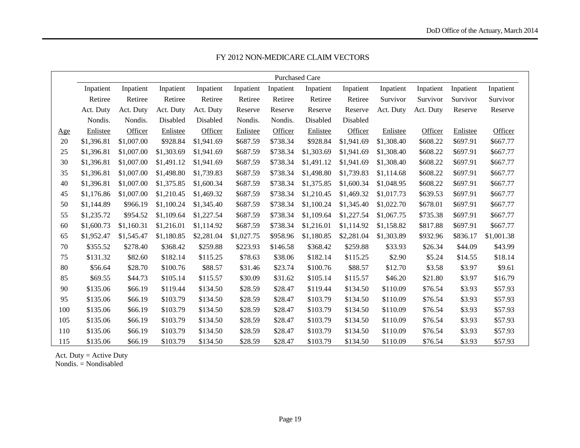|     |            |            |            |            |            | <b>Purchased Care</b> |            |            |            |           |           |            |
|-----|------------|------------|------------|------------|------------|-----------------------|------------|------------|------------|-----------|-----------|------------|
|     | Inpatient  | Inpatient  | Inpatient  | Inpatient  | Inpatient  | Inpatient             | Inpatient  | Inpatient  | Inpatient  | Inpatient | Inpatient | Inpatient  |
|     | Retiree    | Retiree    | Retiree    | Retiree    | Retiree    | Retiree               | Retiree    | Retiree    | Survivor   | Survivor  | Survivor  | Survivor   |
|     | Act. Duty  | Act. Duty  | Act. Duty  | Act. Duty  | Reserve    | Reserve               | Reserve    | Reserve    | Act. Duty  | Act. Duty | Reserve   | Reserve    |
|     | Nondis.    | Nondis.    | Disabled   | Disabled   | Nondis.    | Nondis.               | Disabled   | Disabled   |            |           |           |            |
| Age | Enlistee   | Officer    | Enlistee   | Officer    | Enlistee   | Officer               | Enlistee   | Officer    | Enlistee   | Officer   | Enlistee  | Officer    |
| 20  | \$1,396.81 | \$1,007.00 | \$928.84   | \$1,941.69 | \$687.59   | \$738.34              | \$928.84   | \$1,941.69 | \$1,308.40 | \$608.22  | \$697.91  | \$667.77   |
| 25  | \$1,396.81 | \$1,007.00 | \$1,303.69 | \$1,941.69 | \$687.59   | \$738.34              | \$1,303.69 | \$1,941.69 | \$1,308.40 | \$608.22  | \$697.91  | \$667.77   |
| 30  | \$1,396.81 | \$1,007.00 | \$1,491.12 | \$1,941.69 | \$687.59   | \$738.34              | \$1,491.12 | \$1,941.69 | \$1,308.40 | \$608.22  | \$697.91  | \$667.77   |
| 35  | \$1,396.81 | \$1,007.00 | \$1,498.80 | \$1,739.83 | \$687.59   | \$738.34              | \$1,498.80 | \$1,739.83 | \$1,114.68 | \$608.22  | \$697.91  | \$667.77   |
| 40  | \$1,396.81 | \$1,007.00 | \$1,375.85 | \$1,600.34 | \$687.59   | \$738.34              | \$1,375.85 | \$1,600.34 | \$1,048.95 | \$608.22  | \$697.91  | \$667.77   |
| 45  | \$1,176.86 | \$1,007.00 | \$1,210.45 | \$1,469.32 | \$687.59   | \$738.34              | \$1,210.45 | \$1,469.32 | \$1,017.73 | \$639.53  | \$697.91  | \$667.77   |
| 50  | \$1,144.89 | \$966.19   | \$1,100.24 | \$1,345.40 | \$687.59   | \$738.34              | \$1,100.24 | \$1,345.40 | \$1,022.70 | \$678.01  | \$697.91  | \$667.77   |
| 55  | \$1,235.72 | \$954.52   | \$1,109.64 | \$1,227.54 | \$687.59   | \$738.34              | \$1,109.64 | \$1,227.54 | \$1,067.75 | \$735.38  | \$697.91  | \$667.77   |
| 60  | \$1,600.73 | \$1,160.31 | \$1,216.01 | \$1,114.92 | \$687.59   | \$738.34              | \$1,216.01 | \$1,114.92 | \$1,158.82 | \$817.88  | \$697.91  | \$667.77   |
| 65  | \$1,952.47 | \$1,545.47 | \$1,180.85 | \$2,281.04 | \$1,027.75 | \$958.96              | \$1,180.85 | \$2,281.04 | \$1,303.89 | \$932.96  | \$836.17  | \$1,001.38 |
| 70  | \$355.52   | \$278.40   | \$368.42   | \$259.88   | \$223.93   | \$146.58              | \$368.42   | \$259.88   | \$33.93    | \$26.34   | \$44.09   | \$43.99    |
| 75  | \$131.32   | \$82.60    | \$182.14   | \$115.25   | \$78.63    | \$38.06               | \$182.14   | \$115.25   | \$2.90     | \$5.24    | \$14.55   | \$18.14    |
| 80  | \$56.64    | \$28.70    | \$100.76   | \$88.57    | \$31.46    | \$23.74               | \$100.76   | \$88.57    | \$12.70    | \$3.58    | \$3.97    | \$9.61     |
| 85  | \$69.55    | \$44.73    | \$105.14   | \$115.57   | \$30.09    | \$31.62               | \$105.14   | \$115.57   | \$46.20    | \$21.80   | \$3.97    | \$16.79    |
| 90  | \$135.06   | \$66.19    | \$119.44   | \$134.50   | \$28.59    | \$28.47               | \$119.44   | \$134.50   | \$110.09   | \$76.54   | \$3.93    | \$57.93    |
| 95  | \$135.06   | \$66.19    | \$103.79   | \$134.50   | \$28.59    | \$28.47               | \$103.79   | \$134.50   | \$110.09   | \$76.54   | \$3.93    | \$57.93    |
| 100 | \$135.06   | \$66.19    | \$103.79   | \$134.50   | \$28.59    | \$28.47               | \$103.79   | \$134.50   | \$110.09   | \$76.54   | \$3.93    | \$57.93    |
| 105 | \$135.06   | \$66.19    | \$103.79   | \$134.50   | \$28.59    | \$28.47               | \$103.79   | \$134.50   | \$110.09   | \$76.54   | \$3.93    | \$57.93    |
| 110 | \$135.06   | \$66.19    | \$103.79   | \$134.50   | \$28.59    | \$28.47               | \$103.79   | \$134.50   | \$110.09   | \$76.54   | \$3.93    | \$57.93    |
| 115 | \$135.06   | \$66.19    | \$103.79   | \$134.50   | \$28.59    | \$28.47               | \$103.79   | \$134.50   | \$110.09   | \$76.54   | \$3.93    | \$57.93    |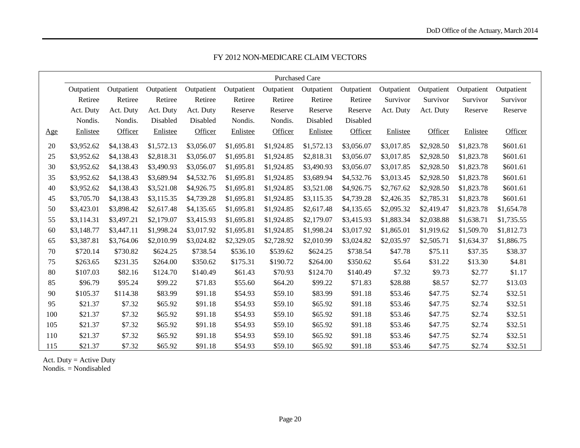|            |            |            |            |            |            |            | <b>Purchased Care</b> |            |            |            |            |            |
|------------|------------|------------|------------|------------|------------|------------|-----------------------|------------|------------|------------|------------|------------|
|            | Outpatient | Outpatient | Outpatient | Outpatient | Outpatient | Outpatient | Outpatient            | Outpatient | Outpatient | Outpatient | Outpatient | Outpatient |
|            | Retiree    | Retiree    | Retiree    | Retiree    | Retiree    | Retiree    | Retiree               | Retiree    | Survivor   | Survivor   | Survivor   | Survivor   |
|            | Act. Duty  | Act. Duty  | Act. Duty  | Act. Duty  | Reserve    | Reserve    | Reserve               | Reserve    | Act. Duty  | Act. Duty  | Reserve    | Reserve    |
|            | Nondis.    | Nondis.    | Disabled   | Disabled   | Nondis.    | Nondis.    | Disabled              | Disabled   |            |            |            |            |
| <u>Age</u> | Enlistee   | Officer    | Enlistee   | Officer    | Enlistee   | Officer    | Enlistee              | Officer    | Enlistee   | Officer    | Enlistee   | Officer    |
| 20         | \$3,952.62 | \$4,138.43 | \$1,572.13 | \$3,056.07 | \$1,695.81 | \$1,924.85 | \$1,572.13            | \$3,056.07 | \$3,017.85 | \$2,928.50 | \$1,823.78 | \$601.61   |
| 25         | \$3,952.62 | \$4,138.43 | \$2,818.31 | \$3,056.07 | \$1,695.81 | \$1,924.85 | \$2,818.31            | \$3,056.07 | \$3,017.85 | \$2,928.50 | \$1,823.78 | \$601.61   |
| 30         | \$3,952.62 | \$4,138.43 | \$3,490.93 | \$3,056.07 | \$1,695.81 | \$1,924.85 | \$3,490.93            | \$3,056.07 | \$3,017.85 | \$2,928.50 | \$1,823.78 | \$601.61   |
| 35         | \$3,952.62 | \$4,138.43 | \$3,689.94 | \$4,532.76 | \$1,695.81 | \$1,924.85 | \$3,689.94            | \$4,532.76 | \$3,013.45 | \$2,928.50 | \$1,823.78 | \$601.61   |
| 40         | \$3,952.62 | \$4,138.43 | \$3,521.08 | \$4,926.75 | \$1,695.81 | \$1,924.85 | \$3,521.08            | \$4,926.75 | \$2,767.62 | \$2,928.50 | \$1,823.78 | \$601.61   |
| 45         | \$3,705.70 | \$4,138.43 | \$3,115.35 | \$4,739.28 | \$1,695.81 | \$1,924.85 | \$3,115.35            | \$4,739.28 | \$2,426.35 | \$2,785.31 | \$1,823.78 | \$601.61   |
| 50         | \$3,423.01 | \$3,898.42 | \$2,617.48 | \$4,135.65 | \$1,695.81 | \$1,924.85 | \$2,617.48            | \$4,135.65 | \$2,095.32 | \$2,419.47 | \$1,823.78 | \$1,654.78 |
| 55         | \$3,114.31 | \$3,497.21 | \$2,179.07 | \$3,415.93 | \$1,695.81 | \$1,924.85 | \$2,179.07            | \$3,415.93 | \$1,883.34 | \$2,038.88 | \$1,638.71 | \$1,735.55 |
| 60         | \$3,148.77 | \$3,447.11 | \$1,998.24 | \$3,017.92 | \$1,695.81 | \$1,924.85 | \$1,998.24            | \$3,017.92 | \$1,865.01 | \$1,919.62 | \$1,509.70 | \$1,812.73 |
| 65         | \$3,387.81 | \$3,764.06 | \$2,010.99 | \$3,024.82 | \$2,329.05 | \$2,728.92 | \$2,010.99            | \$3,024.82 | \$2,035.97 | \$2,505.71 | \$1,634.37 | \$1,886.75 |
| 70         | \$720.14   | \$730.82   | \$624.25   | \$738.54   | \$536.10   | \$539.62   | \$624.25              | \$738.54   | \$47.78    | \$75.11    | \$37.35    | \$38.37    |
| 75         | \$263.65   | \$231.35   | \$264.00   | \$350.62   | \$175.31   | \$190.72   | \$264.00              | \$350.62   | \$5.64     | \$31.22    | \$13.30    | \$4.81     |
| 80         | \$107.03   | \$82.16    | \$124.70   | \$140.49   | \$61.43    | \$70.93    | \$124.70              | \$140.49   | \$7.32     | \$9.73     | \$2.77     | \$1.17     |
| 85         | \$96.79    | \$95.24    | \$99.22    | \$71.83    | \$55.60    | \$64.20    | \$99.22               | \$71.83    | \$28.88    | \$8.57     | \$2.77     | \$13.03    |
| 90         | \$105.37   | \$114.38   | \$83.99    | \$91.18    | \$54.93    | \$59.10    | \$83.99               | \$91.18    | \$53.46    | \$47.75    | \$2.74     | \$32.51    |
| 95         | \$21.37    | \$7.32     | \$65.92    | \$91.18    | \$54.93    | \$59.10    | \$65.92               | \$91.18    | \$53.46    | \$47.75    | \$2.74     | \$32.51    |
| 100        | \$21.37    | \$7.32     | \$65.92    | \$91.18    | \$54.93    | \$59.10    | \$65.92               | \$91.18    | \$53.46    | \$47.75    | \$2.74     | \$32.51    |
| 105        | \$21.37    | \$7.32     | \$65.92    | \$91.18    | \$54.93    | \$59.10    | \$65.92               | \$91.18    | \$53.46    | \$47.75    | \$2.74     | \$32.51    |
| 110        | \$21.37    | \$7.32     | \$65.92    | \$91.18    | \$54.93    | \$59.10    | \$65.92               | \$91.18    | \$53.46    | \$47.75    | \$2.74     | \$32.51    |
| 115        | \$21.37    | \$7.32     | \$65.92    | \$91.18    | \$54.93    | \$59.10    | \$65.92               | \$91.18    | \$53.46    | \$47.75    | \$2.74     | \$32.51    |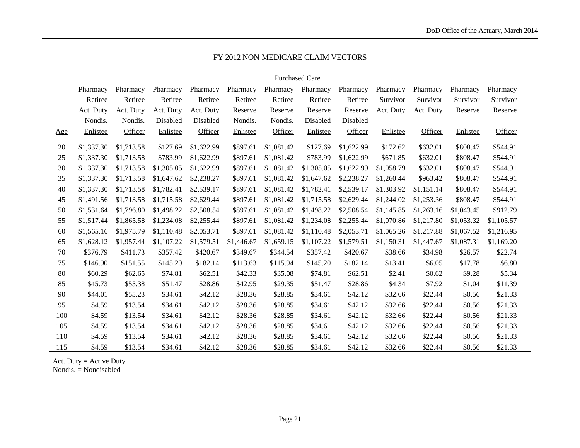|     |            |            |            |            |            |            | <b>Purchased Care</b> |            |            |            |            |            |
|-----|------------|------------|------------|------------|------------|------------|-----------------------|------------|------------|------------|------------|------------|
|     | Pharmacy   | Pharmacy   | Pharmacy   | Pharmacy   | Pharmacy   | Pharmacy   | Pharmacy              | Pharmacy   | Pharmacy   | Pharmacy   | Pharmacy   | Pharmacy   |
|     | Retiree    | Retiree    | Retiree    | Retiree    | Retiree    | Retiree    | Retiree               | Retiree    | Survivor   | Survivor   | Survivor   | Survivor   |
|     | Act. Duty  | Act. Duty  | Act. Duty  | Act. Duty  | Reserve    | Reserve    | Reserve               | Reserve    | Act. Duty  | Act. Duty  | Reserve    | Reserve    |
|     | Nondis.    | Nondis.    | Disabled   | Disabled   | Nondis.    | Nondis.    | Disabled              | Disabled   |            |            |            |            |
| Age | Enlistee   | Officer    | Enlistee   | Officer    | Enlistee   | Officer    | Enlistee              | Officer    | Enlistee   | Officer    | Enlistee   | Officer    |
| 20  | \$1,337.30 | \$1,713.58 | \$127.69   | \$1,622.99 | \$897.61   | \$1,081.42 | \$127.69              | \$1,622.99 | \$172.62   | \$632.01   | \$808.47   | \$544.91   |
| 25  | \$1,337.30 | \$1,713.58 | \$783.99   | \$1,622.99 | \$897.61   | \$1,081.42 | \$783.99              | \$1,622.99 | \$671.85   | \$632.01   | \$808.47   | \$544.91   |
| 30  | \$1,337.30 | \$1,713.58 | \$1,305.05 | \$1,622.99 | \$897.61   | \$1,081.42 | \$1,305.05            | \$1,622.99 | \$1,058.79 | \$632.01   | \$808.47   | \$544.91   |
| 35  | \$1,337.30 | \$1,713.58 | \$1,647.62 | \$2,238.27 | \$897.61   | \$1,081.42 | \$1,647.62            | \$2,238.27 | \$1,260.44 | \$963.42   | \$808.47   | \$544.91   |
| 40  | \$1,337.30 | \$1,713.58 | \$1,782.41 | \$2,539.17 | \$897.61   | \$1,081.42 | \$1,782.41            | \$2,539.17 | \$1,303.92 | \$1,151.14 | \$808.47   | \$544.91   |
| 45  | \$1,491.56 | \$1,713.58 | \$1,715.58 | \$2,629.44 | \$897.61   | \$1,081.42 | \$1,715.58            | \$2,629.44 | \$1,244.02 | \$1,253.36 | \$808.47   | \$544.91   |
| 50  | \$1,531.64 | \$1,796.80 | \$1,498.22 | \$2,508.54 | \$897.61   | \$1,081.42 | \$1,498.22            | \$2,508.54 | \$1,145.85 | \$1,263.16 | \$1,043.45 | \$912.79   |
| 55  | \$1,517.44 | \$1,865.58 | \$1,234.08 | \$2,255.44 | \$897.61   | \$1,081.42 | \$1,234.08            | \$2,255.44 | \$1,070.86 | \$1,217.80 | \$1,053.32 | \$1,105.57 |
| 60  | \$1,565.16 | \$1,975.79 | \$1,110.48 | \$2,053.71 | \$897.61   | \$1,081.42 | \$1,110.48            | \$2,053.71 | \$1,065.26 | \$1,217.88 | \$1,067.52 | \$1,216.95 |
| 65  | \$1,628.12 | \$1,957.44 | \$1,107.22 | \$1,579.51 | \$1,446.67 | \$1,659.15 | \$1,107.22            | \$1,579.51 | \$1,150.31 | \$1,447.67 | \$1,087.31 | \$1,169.20 |
| 70  | \$376.79   | \$411.73   | \$357.42   | \$420.67   | \$349.67   | \$344.54   | \$357.42              | \$420.67   | \$38.66    | \$34.98    | \$26.57    | \$22.74    |
| 75  | \$146.90   | \$151.55   | \$145.20   | \$182.14   | \$113.63   | \$115.94   | \$145.20              | \$182.14   | \$13.41    | \$6.05     | \$17.78    | \$6.80     |
| 80  | \$60.29    | \$62.65    | \$74.81    | \$62.51    | \$42.33    | \$35.08    | \$74.81               | \$62.51    | \$2.41     | \$0.62     | \$9.28     | \$5.34     |
| 85  | \$45.73    | \$55.38    | \$51.47    | \$28.86    | \$42.95    | \$29.35    | \$51.47               | \$28.86    | \$4.34     | \$7.92     | \$1.04     | \$11.39    |
| 90  | \$44.01    | \$55.23    | \$34.61    | \$42.12    | \$28.36    | \$28.85    | \$34.61               | \$42.12    | \$32.66    | \$22.44    | \$0.56     | \$21.33    |
| 95  | \$4.59     | \$13.54    | \$34.61    | \$42.12    | \$28.36    | \$28.85    | \$34.61               | \$42.12    | \$32.66    | \$22.44    | \$0.56     | \$21.33    |
| 100 | \$4.59     | \$13.54    | \$34.61    | \$42.12    | \$28.36    | \$28.85    | \$34.61               | \$42.12    | \$32.66    | \$22.44    | \$0.56     | \$21.33    |
| 105 | \$4.59     | \$13.54    | \$34.61    | \$42.12    | \$28.36    | \$28.85    | \$34.61               | \$42.12    | \$32.66    | \$22.44    | \$0.56     | \$21.33    |
| 110 | \$4.59     | \$13.54    | \$34.61    | \$42.12    | \$28.36    | \$28.85    | \$34.61               | \$42.12    | \$32.66    | \$22.44    | \$0.56     | \$21.33    |
| 115 | \$4.59     | \$13.54    | \$34.61    | \$42.12    | \$28.36    | \$28.85    | \$34.61               | \$42.12    | \$32.66    | \$22.44    | \$0.56     | \$21.33    |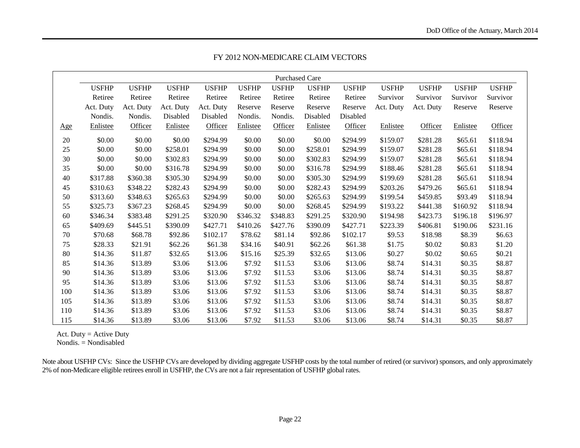|                |              |              |              |              |              | <b>Purchased Care</b> |              |              |              |              |              |              |
|----------------|--------------|--------------|--------------|--------------|--------------|-----------------------|--------------|--------------|--------------|--------------|--------------|--------------|
|                | <b>USFHP</b> | <b>USFHP</b> | <b>USFHP</b> | <b>USFHP</b> | <b>USFHP</b> | <b>USFHP</b>          | <b>USFHP</b> | <b>USFHP</b> | <b>USFHP</b> | <b>USFHP</b> | <b>USFHP</b> | <b>USFHP</b> |
|                | Retiree      | Retiree      | Retiree      | Retiree      | Retiree      | Retiree               | Retiree      | Retiree      | Survivor     | Survivor     | Survivor     | Survivor     |
|                | Act. Duty    | Act. Duty    | Act. Duty    | Act. Duty    | Reserve      | Reserve               | Reserve      | Reserve      | Act. Duty    | Act. Duty    | Reserve      | Reserve      |
|                | Nondis.      | Nondis.      | Disabled     | Disabled     | Nondis.      | Nondis.               | Disabled     | Disabled     |              |              |              |              |
| $\mathbf{Age}$ | Enlistee     | Officer      | Enlistee     | Officer      | Enlistee     | Officer               | Enlistee     | Officer      | Enlistee     | Officer      | Enlistee     | Officer      |
| $20\,$         | \$0.00       | \$0.00       | \$0.00       | \$294.99     | \$0.00       | \$0.00                | \$0.00       | \$294.99     | \$159.07     | \$281.28     | \$65.61      | \$118.94     |
| 25             | \$0.00       | \$0.00       | \$258.01     | \$294.99     | \$0.00       | \$0.00                | \$258.01     | \$294.99     | \$159.07     | \$281.28     | \$65.61      | \$118.94     |
| 30             | \$0.00       | \$0.00       | \$302.83     | \$294.99     | \$0.00       | \$0.00                | \$302.83     | \$294.99     | \$159.07     | \$281.28     | \$65.61      | \$118.94     |
| 35             | \$0.00       | \$0.00       | \$316.78     | \$294.99     | \$0.00       | \$0.00                | \$316.78     | \$294.99     | \$188.46     | \$281.28     | \$65.61      | \$118.94     |
| 40             | \$317.88     | \$360.38     | \$305.30     | \$294.99     | \$0.00       | \$0.00                | \$305.30     | \$294.99     | \$199.69     | \$281.28     | \$65.61      | \$118.94     |
| 45             | \$310.63     | \$348.22     | \$282.43     | \$294.99     | \$0.00       | \$0.00                | \$282.43     | \$294.99     | \$203.26     | \$479.26     | \$65.61      | \$118.94     |
| 50             | \$313.60     | \$348.63     | \$265.63     | \$294.99     | \$0.00       | \$0.00                | \$265.63     | \$294.99     | \$199.54     | \$459.85     | \$93.49      | \$118.94     |
| 55             | \$325.73     | \$367.23     | \$268.45     | \$294.99     | \$0.00       | \$0.00                | \$268.45     | \$294.99     | \$193.22     | \$441.38     | \$160.92     | \$118.94     |
| 60             | \$346.34     | \$383.48     | \$291.25     | \$320.90     | \$346.32     | \$348.83              | \$291.25     | \$320.90     | \$194.98     | \$423.73     | \$196.18     | \$196.97     |
| 65             | \$409.69     | \$445.51     | \$390.09     | \$427.71     | \$410.26     | \$427.76              | \$390.09     | \$427.71     | \$223.39     | \$406.81     | \$190.06     | \$231.16     |
| 70             | \$70.68      | \$68.78      | \$92.86      | \$102.17     | \$78.62      | \$81.14               | \$92.86      | \$102.17     | \$9.53       | \$18.98      | \$8.39       | \$6.63       |
| 75             | \$28.33      | \$21.91      | \$62.26      | \$61.38      | \$34.16      | \$40.91               | \$62.26      | \$61.38      | \$1.75       | \$0.02       | \$0.83       | \$1.20       |
| 80             | \$14.36      | \$11.87      | \$32.65      | \$13.06      | \$15.16      | \$25.39               | \$32.65      | \$13.06      | \$0.27       | \$0.02       | \$0.65       | \$0.21       |
| 85             | \$14.36      | \$13.89      | \$3.06       | \$13.06      | \$7.92       | \$11.53               | \$3.06       | \$13.06      | \$8.74       | \$14.31      | \$0.35       | \$8.87       |
| 90             | \$14.36      | \$13.89      | \$3.06       | \$13.06      | \$7.92       | \$11.53               | \$3.06       | \$13.06      | \$8.74       | \$14.31      | \$0.35       | \$8.87       |
| 95             | \$14.36      | \$13.89      | \$3.06       | \$13.06      | \$7.92       | \$11.53               | \$3.06       | \$13.06      | \$8.74       | \$14.31      | \$0.35       | \$8.87       |
| 100            | \$14.36      | \$13.89      | \$3.06       | \$13.06      | \$7.92       | \$11.53               | \$3.06       | \$13.06      | \$8.74       | \$14.31      | \$0.35       | \$8.87       |
| 105            | \$14.36      | \$13.89      | \$3.06       | \$13.06      | \$7.92       | \$11.53               | \$3.06       | \$13.06      | \$8.74       | \$14.31      | \$0.35       | \$8.87       |
| 110            | \$14.36      | \$13.89      | \$3.06       | \$13.06      | \$7.92       | \$11.53               | \$3.06       | \$13.06      | \$8.74       | \$14.31      | \$0.35       | \$8.87       |
| 115            | \$14.36      | \$13.89      | \$3.06       | \$13.06      | \$7.92       | \$11.53               | \$3.06       | \$13.06      | \$8.74       | \$14.31      | \$0.35       | \$8.87       |

Act. Duty = Active Duty

Nondis. = Nondisabled

Note about USFHP CVs: Since the USFHP CVs are developed by dividing aggregate USFHP costs by the total number of retired (or survivor) sponsors, and only approximately 2% of non-Medicare eligible retirees enroll in USFHP, the CVs are not a fair representation of USFHP global rates.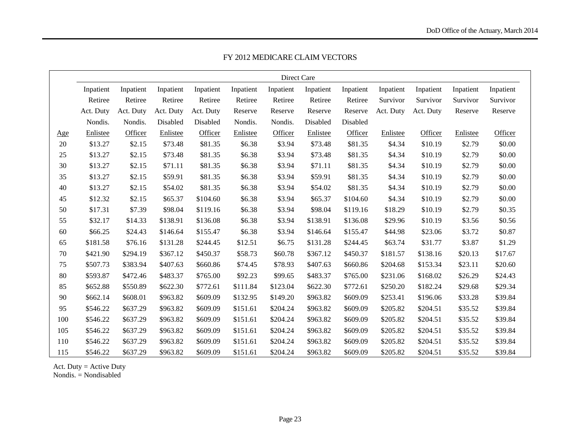|            |           |           |           |           |           | Direct Care |           |           |           |           |           |           |
|------------|-----------|-----------|-----------|-----------|-----------|-------------|-----------|-----------|-----------|-----------|-----------|-----------|
|            | Inpatient | Inpatient | Inpatient | Inpatient | Inpatient | Inpatient   | Inpatient | Inpatient | Inpatient | Inpatient | Inpatient | Inpatient |
|            | Retiree   | Retiree   | Retiree   | Retiree   | Retiree   | Retiree     | Retiree   | Retiree   | Survivor  | Survivor  | Survivor  | Survivor  |
|            | Act. Duty | Act. Duty | Act. Duty | Act. Duty | Reserve   | Reserve     | Reserve   | Reserve   | Act. Duty | Act. Duty | Reserve   | Reserve   |
|            | Nondis.   | Nondis.   | Disabled  | Disabled  | Nondis.   | Nondis.     | Disabled  | Disabled  |           |           |           |           |
| <u>Age</u> | Enlistee  | Officer   | Enlistee  | Officer   | Enlistee  | Officer     | Enlistee  | Officer   | Enlistee  | Officer   | Enlistee  | Officer   |
| 20         | \$13.27   | \$2.15    | \$73.48   | \$81.35   | \$6.38    | \$3.94      | \$73.48   | \$81.35   | \$4.34    | \$10.19   | \$2.79    | \$0.00    |
| 25         | \$13.27   | \$2.15    | \$73.48   | \$81.35   | \$6.38    | \$3.94      | \$73.48   | \$81.35   | \$4.34    | \$10.19   | \$2.79    | \$0.00    |
| 30         | \$13.27   | \$2.15    | \$71.11   | \$81.35   | \$6.38    | \$3.94      | \$71.11   | \$81.35   | \$4.34    | \$10.19   | \$2.79    | \$0.00    |
| 35         | \$13.27   | \$2.15    | \$59.91   | \$81.35   | \$6.38    | \$3.94      | \$59.91   | \$81.35   | \$4.34    | \$10.19   | \$2.79    | \$0.00    |
| 40         | \$13.27   | \$2.15    | \$54.02   | \$81.35   | \$6.38    | \$3.94      | \$54.02   | \$81.35   | \$4.34    | \$10.19   | \$2.79    | \$0.00    |
| 45         | \$12.32   | \$2.15    | \$65.37   | \$104.60  | \$6.38    | \$3.94      | \$65.37   | \$104.60  | \$4.34    | \$10.19   | \$2.79    | \$0.00    |
| 50         | \$17.31   | \$7.39    | \$98.04   | \$119.16  | \$6.38    | \$3.94      | \$98.04   | \$119.16  | \$18.29   | \$10.19   | \$2.79    | \$0.35    |
| 55         | \$32.17   | \$14.33   | \$138.91  | \$136.08  | \$6.38    | \$3.94      | \$138.91  | \$136.08  | \$29.96   | \$10.19   | \$3.56    | \$0.56    |
| 60         | \$66.25   | \$24.43   | \$146.64  | \$155.47  | \$6.38    | \$3.94      | \$146.64  | \$155.47  | \$44.98   | \$23.06   | \$3.72    | \$0.87    |
| 65         | \$181.58  | \$76.16   | \$131.28  | \$244.45  | \$12.51   | \$6.75      | \$131.28  | \$244.45  | \$63.74   | \$31.77   | \$3.87    | \$1.29    |
| 70         | \$421.90  | \$294.19  | \$367.12  | \$450.37  | \$58.73   | \$60.78     | \$367.12  | \$450.37  | \$181.57  | \$138.16  | \$20.13   | \$17.67   |
| 75         | \$507.73  | \$383.94  | \$407.63  | \$660.86  | \$74.45   | \$78.93     | \$407.63  | \$660.86  | \$204.68  | \$153.34  | \$23.11   | \$20.60   |
| 80         | \$593.87  | \$472.46  | \$483.37  | \$765.00  | \$92.23   | \$99.65     | \$483.37  | \$765.00  | \$231.06  | \$168.02  | \$26.29   | \$24.43   |
| 85         | \$652.88  | \$550.89  | \$622.30  | \$772.61  | \$111.84  | \$123.04    | \$622.30  | \$772.61  | \$250.20  | \$182.24  | \$29.68   | \$29.34   |
| 90         | \$662.14  | \$608.01  | \$963.82  | \$609.09  | \$132.95  | \$149.20    | \$963.82  | \$609.09  | \$253.41  | \$196.06  | \$33.28   | \$39.84   |
| 95         | \$546.22  | \$637.29  | \$963.82  | \$609.09  | \$151.61  | \$204.24    | \$963.82  | \$609.09  | \$205.82  | \$204.51  | \$35.52   | \$39.84   |
| 100        | \$546.22  | \$637.29  | \$963.82  | \$609.09  | \$151.61  | \$204.24    | \$963.82  | \$609.09  | \$205.82  | \$204.51  | \$35.52   | \$39.84   |
| 105        | \$546.22  | \$637.29  | \$963.82  | \$609.09  | \$151.61  | \$204.24    | \$963.82  | \$609.09  | \$205.82  | \$204.51  | \$35.52   | \$39.84   |
| 110        | \$546.22  | \$637.29  | \$963.82  | \$609.09  | \$151.61  | \$204.24    | \$963.82  | \$609.09  | \$205.82  | \$204.51  | \$35.52   | \$39.84   |
| 115        | \$546.22  | \$637.29  | \$963.82  | \$609.09  | \$151.61  | \$204.24    | \$963.82  | \$609.09  | \$205.82  | \$204.51  | \$35.52   | \$39.84   |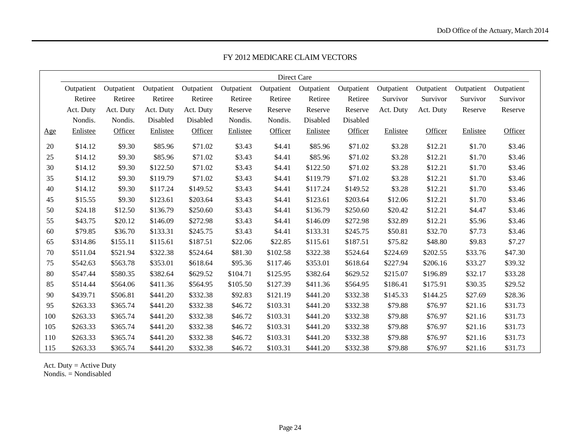|     |            |            |            |            |            |            | Direct Care |            |            |            |            |            |
|-----|------------|------------|------------|------------|------------|------------|-------------|------------|------------|------------|------------|------------|
|     | Outpatient | Outpatient | Outpatient | Outpatient | Outpatient | Outpatient | Outpatient  | Outpatient | Outpatient | Outpatient | Outpatient | Outpatient |
|     | Retiree    | Retiree    | Retiree    | Retiree    | Retiree    | Retiree    | Retiree     | Retiree    | Survivor   | Survivor   | Survivor   | Survivor   |
|     | Act. Duty  | Act. Duty  | Act. Duty  | Act. Duty  | Reserve    | Reserve    | Reserve     | Reserve    | Act. Duty  | Act. Duty  | Reserve    | Reserve    |
|     | Nondis.    | Nondis.    | Disabled   | Disabled   | Nondis.    | Nondis.    | Disabled    | Disabled   |            |            |            |            |
| Age | Enlistee   | Officer    | Enlistee   | Officer    | Enlistee   | Officer    | Enlistee    | Officer    | Enlistee   | Officer    | Enlistee   | Officer    |
| 20  | \$14.12    | \$9.30     | \$85.96    | \$71.02    | \$3.43     | \$4.41     | \$85.96     | \$71.02    | \$3.28     | \$12.21    | \$1.70     | \$3.46     |
| 25  | \$14.12    | \$9.30     | \$85.96    | \$71.02    | \$3.43     | \$4.41     | \$85.96     | \$71.02    | \$3.28     | \$12.21    | \$1.70     | \$3.46     |
| 30  | \$14.12    | \$9.30     | \$122.50   | \$71.02    | \$3.43     | \$4.41     | \$122.50    | \$71.02    | \$3.28     | \$12.21    | \$1.70     | \$3.46     |
| 35  | \$14.12    | \$9.30     | \$119.79   | \$71.02    | \$3.43     | \$4.41     | \$119.79    | \$71.02    | \$3.28     | \$12.21    | \$1.70     | \$3.46     |
| 40  | \$14.12    | \$9.30     | \$117.24   | \$149.52   | \$3.43     | \$4.41     | \$117.24    | \$149.52   | \$3.28     | \$12.21    | \$1.70     | \$3.46     |
| 45  | \$15.55    | \$9.30     | \$123.61   | \$203.64   | \$3.43     | \$4.41     | \$123.61    | \$203.64   | \$12.06    | \$12.21    | \$1.70     | \$3.46     |
| 50  | \$24.18    | \$12.50    | \$136.79   | \$250.60   | \$3.43     | \$4.41     | \$136.79    | \$250.60   | \$20.42    | \$12.21    | \$4.47     | \$3.46     |
| 55  | \$43.75    | \$20.12    | \$146.09   | \$272.98   | \$3.43     | \$4.41     | \$146.09    | \$272.98   | \$32.89    | \$12.21    | \$5.96     | \$3.46     |
| 60  | \$79.85    | \$36.70    | \$133.31   | \$245.75   | \$3.43     | \$4.41     | \$133.31    | \$245.75   | \$50.81    | \$32.70    | \$7.73     | \$3.46     |
| 65  | \$314.86   | \$155.11   | \$115.61   | \$187.51   | \$22.06    | \$22.85    | \$115.61    | \$187.51   | \$75.82    | \$48.80    | \$9.83     | \$7.27     |
| 70  | \$511.04   | \$521.94   | \$322.38   | \$524.64   | \$81.30    | \$102.58   | \$322.38    | \$524.64   | \$224.69   | \$202.55   | \$33.76    | \$47.30    |
| 75  | \$542.63   | \$563.78   | \$353.01   | \$618.64   | \$95.36    | \$117.46   | \$353.01    | \$618.64   | \$227.94   | \$206.16   | \$33.27    | \$39.32    |
| 80  | \$547.44   | \$580.35   | \$382.64   | \$629.52   | \$104.71   | \$125.95   | \$382.64    | \$629.52   | \$215.07   | \$196.89   | \$32.17    | \$33.28    |
| 85  | \$514.44   | \$564.06   | \$411.36   | \$564.95   | \$105.50   | \$127.39   | \$411.36    | \$564.95   | \$186.41   | \$175.91   | \$30.35    | \$29.52    |
| 90  | \$439.71   | \$506.81   | \$441.20   | \$332.38   | \$92.83    | \$121.19   | \$441.20    | \$332.38   | \$145.33   | \$144.25   | \$27.69    | \$28.36    |
| 95  | \$263.33   | \$365.74   | \$441.20   | \$332.38   | \$46.72    | \$103.31   | \$441.20    | \$332.38   | \$79.88    | \$76.97    | \$21.16    | \$31.73    |
| 100 | \$263.33   | \$365.74   | \$441.20   | \$332.38   | \$46.72    | \$103.31   | \$441.20    | \$332.38   | \$79.88    | \$76.97    | \$21.16    | \$31.73    |
| 105 | \$263.33   | \$365.74   | \$441.20   | \$332.38   | \$46.72    | \$103.31   | \$441.20    | \$332.38   | \$79.88    | \$76.97    | \$21.16    | \$31.73    |
| 110 | \$263.33   | \$365.74   | \$441.20   | \$332.38   | \$46.72    | \$103.31   | \$441.20    | \$332.38   | \$79.88    | \$76.97    | \$21.16    | \$31.73    |
| 115 | \$263.33   | \$365.74   | \$441.20   | \$332.38   | \$46.72    | \$103.31   | \$441.20    | \$332.38   | \$79.88    | \$76.97    | \$21.16    | \$31.73    |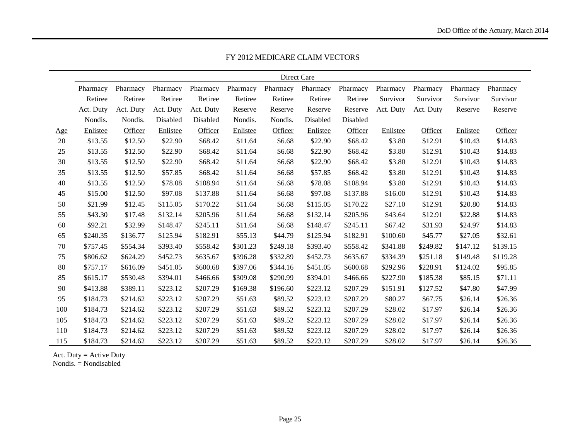|     |           |           |           |           |          | Direct Care |          |          |           |           |          |          |
|-----|-----------|-----------|-----------|-----------|----------|-------------|----------|----------|-----------|-----------|----------|----------|
|     | Pharmacy  | Pharmacy  | Pharmacy  | Pharmacy  | Pharmacy | Pharmacy    | Pharmacy | Pharmacy | Pharmacy  | Pharmacy  | Pharmacy | Pharmacy |
|     | Retiree   | Retiree   | Retiree   | Retiree   | Retiree  | Retiree     | Retiree  | Retiree  | Survivor  | Survivor  | Survivor | Survivor |
|     | Act. Duty | Act. Duty | Act. Duty | Act. Duty | Reserve  | Reserve     | Reserve  | Reserve  | Act. Duty | Act. Duty | Reserve  | Reserve  |
|     | Nondis.   | Nondis.   | Disabled  | Disabled  | Nondis.  | Nondis.     | Disabled | Disabled |           |           |          |          |
| Age | Enlistee  | Officer   | Enlistee  | Officer   | Enlistee | Officer     | Enlistee | Officer  | Enlistee  | Officer   | Enlistee | Officer  |
| 20  | \$13.55   | \$12.50   | \$22.90   | \$68.42   | \$11.64  | \$6.68      | \$22.90  | \$68.42  | \$3.80    | \$12.91   | \$10.43  | \$14.83  |
| 25  | \$13.55   | \$12.50   | \$22.90   | \$68.42   | \$11.64  | \$6.68      | \$22.90  | \$68.42  | \$3.80    | \$12.91   | \$10.43  | \$14.83  |
| 30  | \$13.55   | \$12.50   | \$22.90   | \$68.42   | \$11.64  | \$6.68      | \$22.90  | \$68.42  | \$3.80    | \$12.91   | \$10.43  | \$14.83  |
| 35  | \$13.55   | \$12.50   | \$57.85   | \$68.42   | \$11.64  | \$6.68      | \$57.85  | \$68.42  | \$3.80    | \$12.91   | \$10.43  | \$14.83  |
| 40  | \$13.55   | \$12.50   | \$78.08   | \$108.94  | \$11.64  | \$6.68      | \$78.08  | \$108.94 | \$3.80    | \$12.91   | \$10.43  | \$14.83  |
| 45  | \$15.00   | \$12.50   | \$97.08   | \$137.88  | \$11.64  | \$6.68      | \$97.08  | \$137.88 | \$16.00   | \$12.91   | \$10.43  | \$14.83  |
| 50  | \$21.99   | \$12.45   | \$115.05  | \$170.22  | \$11.64  | \$6.68      | \$115.05 | \$170.22 | \$27.10   | \$12.91   | \$20.80  | \$14.83  |
| 55  | \$43.30   | \$17.48   | \$132.14  | \$205.96  | \$11.64  | \$6.68      | \$132.14 | \$205.96 | \$43.64   | \$12.91   | \$22.88  | \$14.83  |
| 60  | \$92.21   | \$32.99   | \$148.47  | \$245.11  | \$11.64  | \$6.68      | \$148.47 | \$245.11 | \$67.42   | \$31.93   | \$24.97  | \$14.83  |
| 65  | \$240.35  | \$136.77  | \$125.94  | \$182.91  | \$55.13  | \$44.79     | \$125.94 | \$182.91 | \$100.60  | \$45.77   | \$27.05  | \$32.61  |
| 70  | \$757.45  | \$554.34  | \$393.40  | \$558.42  | \$301.23 | \$249.18    | \$393.40 | \$558.42 | \$341.88  | \$249.82  | \$147.12 | \$139.15 |
| 75  | \$806.62  | \$624.29  | \$452.73  | \$635.67  | \$396.28 | \$332.89    | \$452.73 | \$635.67 | \$334.39  | \$251.18  | \$149.48 | \$119.28 |
| 80  | \$757.17  | \$616.09  | \$451.05  | \$600.68  | \$397.06 | \$344.16    | \$451.05 | \$600.68 | \$292.96  | \$228.91  | \$124.02 | \$95.85  |
| 85  | \$615.17  | \$530.48  | \$394.01  | \$466.66  | \$309.08 | \$290.99    | \$394.01 | \$466.66 | \$227.90  | \$185.38  | \$85.15  | \$71.11  |
| 90  | \$413.88  | \$389.11  | \$223.12  | \$207.29  | \$169.38 | \$196.60    | \$223.12 | \$207.29 | \$151.91  | \$127.52  | \$47.80  | \$47.99  |
| 95  | \$184.73  | \$214.62  | \$223.12  | \$207.29  | \$51.63  | \$89.52     | \$223.12 | \$207.29 | \$80.27   | \$67.75   | \$26.14  | \$26.36  |
| 100 | \$184.73  | \$214.62  | \$223.12  | \$207.29  | \$51.63  | \$89.52     | \$223.12 | \$207.29 | \$28.02   | \$17.97   | \$26.14  | \$26.36  |
| 105 | \$184.73  | \$214.62  | \$223.12  | \$207.29  | \$51.63  | \$89.52     | \$223.12 | \$207.29 | \$28.02   | \$17.97   | \$26.14  | \$26.36  |
| 110 | \$184.73  | \$214.62  | \$223.12  | \$207.29  | \$51.63  | \$89.52     | \$223.12 | \$207.29 | \$28.02   | \$17.97   | \$26.14  | \$26.36  |
| 115 | \$184.73  | \$214.62  | \$223.12  | \$207.29  | \$51.63  | \$89.52     | \$223.12 | \$207.29 | \$28.02   | \$17.97   | \$26.14  | \$26.36  |

FY 2012 MEDICARE CLAIM VECTORS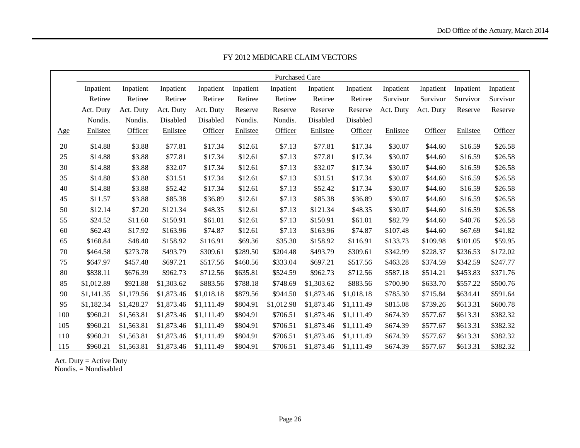|     |            |            |            |            |           | <b>Purchased Care</b> |            |            |           |           |           |           |
|-----|------------|------------|------------|------------|-----------|-----------------------|------------|------------|-----------|-----------|-----------|-----------|
|     | Inpatient  | Inpatient  | Inpatient  | Inpatient  | Inpatient | Inpatient             | Inpatient  | Inpatient  | Inpatient | Inpatient | Inpatient | Inpatient |
|     | Retiree    | Retiree    | Retiree    | Retiree    | Retiree   | Retiree               | Retiree    | Retiree    | Survivor  | Survivor  | Survivor  | Survivor  |
|     | Act. Duty  | Act. Duty  | Act. Duty  | Act. Duty  | Reserve   | Reserve               | Reserve    | Reserve    | Act. Duty | Act. Duty | Reserve   | Reserve   |
|     | Nondis.    | Nondis.    | Disabled   | Disabled   | Nondis.   | Nondis.               | Disabled   | Disabled   |           |           |           |           |
| Age | Enlistee   | Officer    | Enlistee   | Officer    | Enlistee  | Officer               | Enlistee   | Officer    | Enlistee  | Officer   | Enlistee  | Officer   |
| 20  | \$14.88    | \$3.88     | \$77.81    | \$17.34    | \$12.61   | \$7.13                | \$77.81    | \$17.34    | \$30.07   | \$44.60   | \$16.59   | \$26.58   |
| 25  | \$14.88    | \$3.88     | \$77.81    | \$17.34    | \$12.61   | \$7.13                | \$77.81    | \$17.34    | \$30.07   | \$44.60   | \$16.59   | \$26.58   |
| 30  | \$14.88    | \$3.88     | \$32.07    | \$17.34    | \$12.61   | \$7.13                | \$32.07    | \$17.34    | \$30.07   | \$44.60   | \$16.59   | \$26.58   |
| 35  | \$14.88    | \$3.88     | \$31.51    | \$17.34    | \$12.61   | \$7.13                | \$31.51    | \$17.34    | \$30.07   | \$44.60   | \$16.59   | \$26.58   |
| 40  | \$14.88    | \$3.88     | \$52.42    | \$17.34    | \$12.61   | \$7.13                | \$52.42    | \$17.34    | \$30.07   | \$44.60   | \$16.59   | \$26.58   |
| 45  | \$11.57    | \$3.88     | \$85.38    | \$36.89    | \$12.61   | \$7.13                | \$85.38    | \$36.89    | \$30.07   | \$44.60   | \$16.59   | \$26.58   |
| 50  | \$12.14    | \$7.20     | \$121.34   | \$48.35    | \$12.61   | \$7.13                | \$121.34   | \$48.35    | \$30.07   | \$44.60   | \$16.59   | \$26.58   |
| 55  | \$24.52    | \$11.60    | \$150.91   | \$61.01    | \$12.61   | \$7.13                | \$150.91   | \$61.01    | \$82.79   | \$44.60   | \$40.76   | \$26.58   |
| 60  | \$62.43    | \$17.92    | \$163.96   | \$74.87    | \$12.61   | \$7.13                | \$163.96   | \$74.87    | \$107.48  | \$44.60   | \$67.69   | \$41.82   |
| 65  | \$168.84   | \$48.40    | \$158.92   | \$116.91   | \$69.36   | \$35.30               | \$158.92   | \$116.91   | \$133.73  | \$109.98  | \$101.05  | \$59.95   |
| 70  | \$464.58   | \$273.78   | \$493.79   | \$309.61   | \$289.50  | \$204.48              | \$493.79   | \$309.61   | \$342.99  | \$228.37  | \$236.53  | \$172.02  |
| 75  | \$647.97   | \$457.48   | \$697.21   | \$517.56   | \$460.56  | \$333.04              | \$697.21   | \$517.56   | \$463.28  | \$374.59  | \$342.59  | \$247.77  |
| 80  | \$838.11   | \$676.39   | \$962.73   | \$712.56   | \$635.81  | \$524.59              | \$962.73   | \$712.56   | \$587.18  | \$514.21  | \$453.83  | \$371.76  |
| 85  | \$1,012.89 | \$921.88   | \$1,303.62 | \$883.56   | \$788.18  | \$748.69              | \$1,303.62 | \$883.56   | \$700.90  | \$633.70  | \$557.22  | \$500.76  |
| 90  | \$1,141.35 | \$1,179.56 | \$1,873.46 | \$1,018.18 | \$879.56  | \$944.50              | \$1,873.46 | \$1,018.18 | \$785.30  | \$715.84  | \$634.41  | \$591.64  |
| 95  | \$1,182.34 | \$1,428.27 | \$1,873.46 | \$1,111.49 | \$804.91  | \$1,012.98            | \$1,873.46 | \$1,111.49 | \$815.08  | \$739.26  | \$613.31  | \$600.78  |
| 100 | \$960.21   | \$1,563.81 | \$1,873.46 | \$1,111.49 | \$804.91  | \$706.51              | \$1,873.46 | \$1,111.49 | \$674.39  | \$577.67  | \$613.31  | \$382.32  |
| 105 | \$960.21   | \$1,563.81 | \$1,873.46 | \$1,111.49 | \$804.91  | \$706.51              | \$1,873.46 | \$1,111.49 | \$674.39  | \$577.67  | \$613.31  | \$382.32  |
| 110 | \$960.21   | \$1,563.81 | \$1,873.46 | \$1,111.49 | \$804.91  | \$706.51              | \$1,873.46 | \$1,111.49 | \$674.39  | \$577.67  | \$613.31  | \$382.32  |
| 115 | \$960.21   | \$1,563.81 | \$1,873.46 | \$1,111.49 | \$804.91  | \$706.51              | \$1,873.46 | \$1,111.49 | \$674.39  | \$577.67  | \$613.31  | \$382.32  |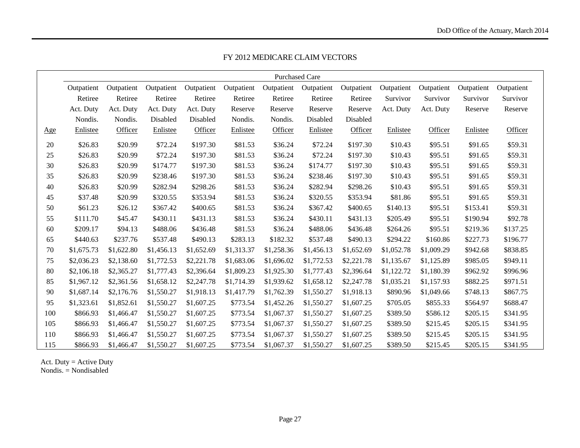|     | <b>Purchased Care</b> |            |            |            |            |            |            |            |            |            |            |            |
|-----|-----------------------|------------|------------|------------|------------|------------|------------|------------|------------|------------|------------|------------|
|     | Outpatient            | Outpatient | Outpatient | Outpatient | Outpatient | Outpatient | Outpatient | Outpatient | Outpatient | Outpatient | Outpatient | Outpatient |
|     | Retiree               | Retiree    | Retiree    | Retiree    | Retiree    | Retiree    | Retiree    | Retiree    | Survivor   | Survivor   | Survivor   | Survivor   |
|     | Act. Duty             | Act. Duty  | Act. Duty  | Act. Duty  | Reserve    | Reserve    | Reserve    | Reserve    | Act. Duty  | Act. Duty  | Reserve    | Reserve    |
|     | Nondis.               | Nondis.    | Disabled   | Disabled   | Nondis.    | Nondis.    | Disabled   | Disabled   |            |            |            |            |
| Age | Enlistee              | Officer    | Enlistee   | Officer    | Enlistee   | Officer    | Enlistee   | Officer    | Enlistee   | Officer    | Enlistee   | Officer    |
| 20  | \$26.83               | \$20.99    | \$72.24    | \$197.30   | \$81.53    | \$36.24    | \$72.24    | \$197.30   | \$10.43    | \$95.51    | \$91.65    | \$59.31    |
| 25  | \$26.83               | \$20.99    | \$72.24    | \$197.30   | \$81.53    | \$36.24    | \$72.24    | \$197.30   | \$10.43    | \$95.51    | \$91.65    | \$59.31    |
| 30  | \$26.83               | \$20.99    | \$174.77   | \$197.30   | \$81.53    | \$36.24    | \$174.77   | \$197.30   | \$10.43    | \$95.51    | \$91.65    | \$59.31    |
| 35  | \$26.83               | \$20.99    | \$238.46   | \$197.30   | \$81.53    | \$36.24    | \$238.46   | \$197.30   | \$10.43    | \$95.51    | \$91.65    | \$59.31    |
| 40  | \$26.83               | \$20.99    | \$282.94   | \$298.26   | \$81.53    | \$36.24    | \$282.94   | \$298.26   | \$10.43    | \$95.51    | \$91.65    | \$59.31    |
| 45  | \$37.48               | \$20.99    | \$320.55   | \$353.94   | \$81.53    | \$36.24    | \$320.55   | \$353.94   | \$81.86    | \$95.51    | \$91.65    | \$59.31    |
| 50  | \$61.23               | \$26.12    | \$367.42   | \$400.65   | \$81.53    | \$36.24    | \$367.42   | \$400.65   | \$140.13   | \$95.51    | \$153.41   | \$59.31    |
| 55  | \$111.70              | \$45.47    | \$430.11   | \$431.13   | \$81.53    | \$36.24    | \$430.11   | \$431.13   | \$205.49   | \$95.51    | \$190.94   | \$92.78    |
| 60  | \$209.17              | \$94.13    | \$488.06   | \$436.48   | \$81.53    | \$36.24    | \$488.06   | \$436.48   | \$264.26   | \$95.51    | \$219.36   | \$137.25   |
| 65  | \$440.63              | \$237.76   | \$537.48   | \$490.13   | \$283.13   | \$182.32   | \$537.48   | \$490.13   | \$294.22   | \$160.86   | \$227.73   | \$196.77   |
| 70  | \$1,675.73            | \$1,622.80 | \$1,456.13 | \$1,652.69 | \$1,313.37 | \$1,258.36 | \$1,456.13 | \$1,652.69 | \$1,052.78 | \$1,009.29 | \$942.68   | \$838.85   |
| 75  | \$2,036.23            | \$2,138.60 | \$1,772.53 | \$2,221.78 | \$1,683.06 | \$1,696.02 | \$1,772.53 | \$2,221.78 | \$1,135.67 | \$1,125.89 | \$985.05   | \$949.11   |
| 80  | \$2,106.18            | \$2,365.27 | \$1,777.43 | \$2,396.64 | \$1,809.23 | \$1,925.30 | \$1,777.43 | \$2,396.64 | \$1,122.72 | \$1,180.39 | \$962.92   | \$996.96   |
| 85  | \$1,967.12            | \$2,361.56 | \$1,658.12 | \$2,247.78 | \$1,714.39 | \$1,939.62 | \$1,658.12 | \$2,247.78 | \$1,035.21 | \$1,157.93 | \$882.25   | \$971.51   |
| 90  | \$1,687.14            | \$2,176.76 | \$1,550.27 | \$1,918.13 | \$1,417.79 | \$1,762.39 | \$1,550.27 | \$1,918.13 | \$890.96   | \$1,049.66 | \$748.13   | \$867.75   |
| 95  | \$1,323.61            | \$1,852.61 | \$1,550.27 | \$1,607.25 | \$773.54   | \$1,452.26 | \$1,550.27 | \$1,607.25 | \$705.05   | \$855.33   | \$564.97   | \$688.47   |
| 100 | \$866.93              | \$1,466.47 | \$1,550.27 | \$1,607.25 | \$773.54   | \$1,067.37 | \$1,550.27 | \$1,607.25 | \$389.50   | \$586.12   | \$205.15   | \$341.95   |
| 105 | \$866.93              | \$1,466.47 | \$1,550.27 | \$1,607.25 | \$773.54   | \$1,067.37 | \$1,550.27 | \$1,607.25 | \$389.50   | \$215.45   | \$205.15   | \$341.95   |
| 110 | \$866.93              | \$1,466.47 | \$1,550.27 | \$1,607.25 | \$773.54   | \$1,067.37 | \$1,550.27 | \$1,607.25 | \$389.50   | \$215.45   | \$205.15   | \$341.95   |
| 115 | \$866.93              | \$1,466.47 | \$1,550.27 | \$1,607.25 | \$773.54   | \$1,067.37 | \$1,550.27 | \$1,607.25 | \$389.50   | \$215.45   | \$205.15   | \$341.95   |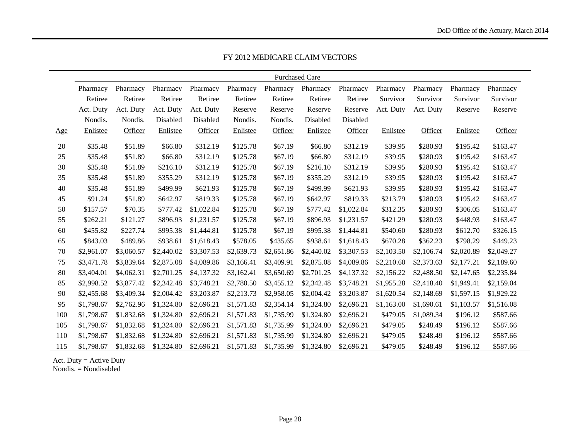|     | <b>Purchased Care</b> |            |            |            |            |            |            |            |            |            |            |            |
|-----|-----------------------|------------|------------|------------|------------|------------|------------|------------|------------|------------|------------|------------|
|     | Pharmacy              | Pharmacy   | Pharmacy   | Pharmacy   | Pharmacy   | Pharmacy   | Pharmacy   | Pharmacy   | Pharmacy   | Pharmacy   | Pharmacy   | Pharmacy   |
|     | Retiree               | Retiree    | Retiree    | Retiree    | Retiree    | Retiree    | Retiree    | Retiree    | Survivor   | Survivor   | Survivor   | Survivor   |
|     | Act. Duty             | Act. Duty  | Act. Duty  | Act. Duty  | Reserve    | Reserve    | Reserve    | Reserve    | Act. Duty  | Act. Duty  | Reserve    | Reserve    |
|     | Nondis.               | Nondis.    | Disabled   | Disabled   | Nondis.    | Nondis.    | Disabled   | Disabled   |            |            |            |            |
| Age | Enlistee              | Officer    | Enlistee   | Officer    | Enlistee   | Officer    | Enlistee   | Officer    | Enlistee   | Officer    | Enlistee   | Officer    |
| 20  | \$35.48               | \$51.89    | \$66.80    | \$312.19   | \$125.78   | \$67.19    | \$66.80    | \$312.19   | \$39.95    | \$280.93   | \$195.42   | \$163.47   |
| 25  | \$35.48               | \$51.89    | \$66.80    | \$312.19   | \$125.78   | \$67.19    | \$66.80    | \$312.19   | \$39.95    | \$280.93   | \$195.42   | \$163.47   |
| 30  | \$35.48               | \$51.89    | \$216.10   | \$312.19   | \$125.78   | \$67.19    | \$216.10   | \$312.19   | \$39.95    | \$280.93   | \$195.42   | \$163.47   |
| 35  | \$35.48               | \$51.89    | \$355.29   | \$312.19   | \$125.78   | \$67.19    | \$355.29   | \$312.19   | \$39.95    | \$280.93   | \$195.42   | \$163.47   |
| 40  | \$35.48               | \$51.89    | \$499.99   | \$621.93   | \$125.78   | \$67.19    | \$499.99   | \$621.93   | \$39.95    | \$280.93   | \$195.42   | \$163.47   |
| 45  | \$91.24               | \$51.89    | \$642.97   | \$819.33   | \$125.78   | \$67.19    | \$642.97   | \$819.33   | \$213.79   | \$280.93   | \$195.42   | \$163.47   |
| 50  | \$157.57              | \$70.35    | \$777.42   | \$1,022.84 | \$125.78   | \$67.19    | \$777.42   | \$1,022.84 | \$312.35   | \$280.93   | \$306.05   | \$163.47   |
| 55  | \$262.21              | \$121.27   | \$896.93   | \$1,231.57 | \$125.78   | \$67.19    | \$896.93   | \$1,231.57 | \$421.29   | \$280.93   | \$448.93   | \$163.47   |
| 60  | \$455.82              | \$227.74   | \$995.38   | \$1,444.81 | \$125.78   | \$67.19    | \$995.38   | \$1,444.81 | \$540.60   | \$280.93   | \$612.70   | \$326.15   |
| 65  | \$843.03              | \$489.86   | \$938.61   | \$1,618.43 | \$578.05   | \$435.65   | \$938.61   | \$1,618.43 | \$670.28   | \$362.23   | \$798.29   | \$449.23   |
| 70  | \$2,961.07            | \$3,060.57 | \$2,440.02 | \$3,307.53 | \$2,639.73 | \$2,651.86 | \$2,440.02 | \$3,307.53 | \$2,103.50 | \$2,106.74 | \$2,020.89 | \$2,049.27 |
| 75  | \$3,471.78            | \$3,839.64 | \$2,875.08 | \$4,089.86 | \$3,166.41 | \$3,409.91 | \$2,875.08 | \$4,089.86 | \$2,210.60 | \$2,373.63 | \$2,177.21 | \$2,189.60 |
| 80  | \$3,404.01            | \$4,062.31 | \$2,701.25 | \$4,137.32 | \$3,162.41 | \$3,650.69 | \$2,701.25 | \$4,137.32 | \$2,156.22 | \$2,488.50 | \$2,147.65 | \$2,235.84 |
| 85  | \$2,998.52            | \$3,877.42 | \$2,342.48 | \$3,748.21 | \$2,780.50 | \$3,455.12 | \$2,342.48 | \$3,748.21 | \$1,955.28 | \$2,418.40 | \$1,949.41 | \$2,159.04 |
| 90  | \$2,455.68            | \$3,409.34 | \$2,004.42 | \$3,203.87 | \$2,213.73 | \$2,958.05 | \$2,004.42 | \$3,203.87 | \$1,620.54 | \$2,148.69 | \$1,597.15 | \$1,929.22 |
| 95  | \$1,798.67            | \$2,762.96 | \$1,324.80 | \$2,696.21 | \$1,571.83 | \$2,354.14 | \$1,324.80 | \$2,696.21 | \$1,163.00 | \$1,690.61 | \$1,103.57 | \$1,516.08 |
| 100 | \$1,798.67            | \$1,832.68 | \$1,324.80 | \$2,696.21 | \$1,571.83 | \$1,735.99 | \$1,324.80 | \$2,696.21 | \$479.05   | \$1,089.34 | \$196.12   | \$587.66   |
| 105 | \$1,798.67            | \$1,832.68 | \$1,324.80 | \$2,696.21 | \$1,571.83 | \$1,735.99 | \$1,324.80 | \$2,696.21 | \$479.05   | \$248.49   | \$196.12   | \$587.66   |
| 110 | \$1,798.67            | \$1,832.68 | \$1,324.80 | \$2,696.21 | \$1,571.83 | \$1,735.99 | \$1,324.80 | \$2,696.21 | \$479.05   | \$248.49   | \$196.12   | \$587.66   |
| 115 | \$1,798.67            | \$1,832.68 | \$1,324.80 | \$2,696.21 | \$1,571.83 | \$1,735.99 | \$1,324.80 | \$2,696.21 | \$479.05   | \$248.49   | \$196.12   | \$587.66   |